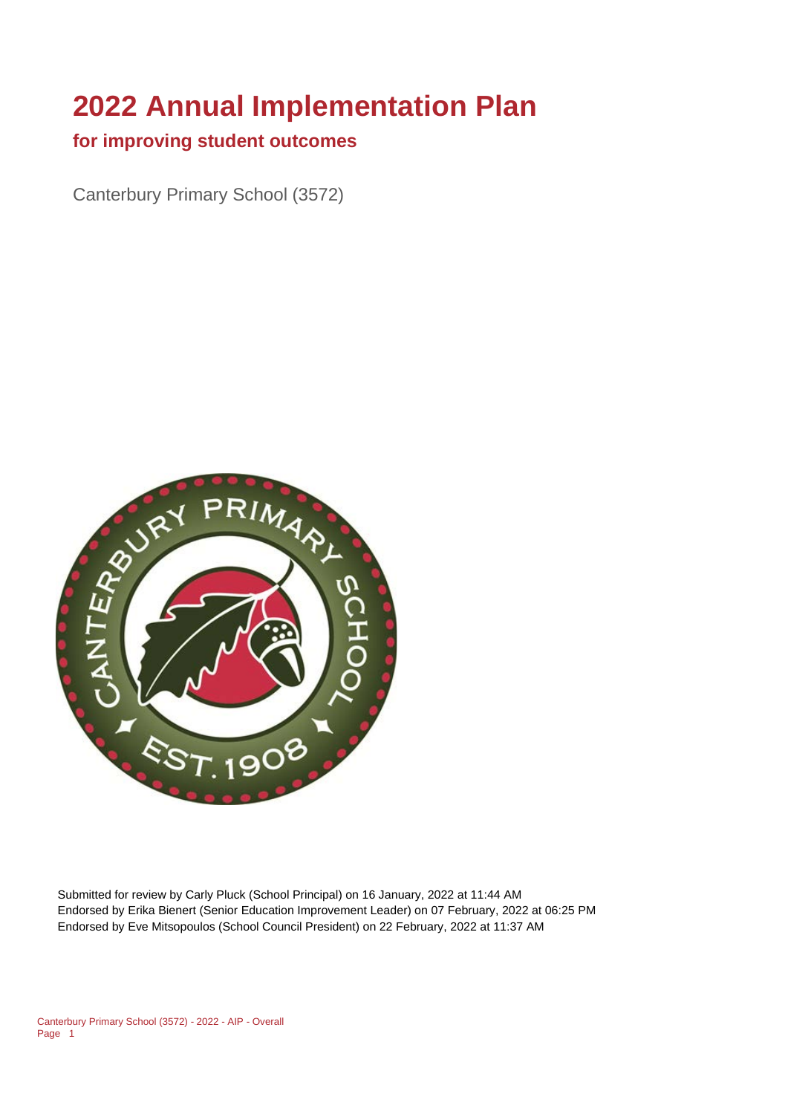# **2022 Annual Implementation Plan**

## **for improving student outcomes**

Canterbury Primary School (3572)



Submitted for review by Carly Pluck (School Principal) on 16 January, 2022 at 11:44 AM Endorsed by Erika Bienert (Senior Education Improvement Leader) on 07 February, 2022 at 06:25 PM Endorsed by Eve Mitsopoulos (School Council President) on 22 February, 2022 at 11:37 AM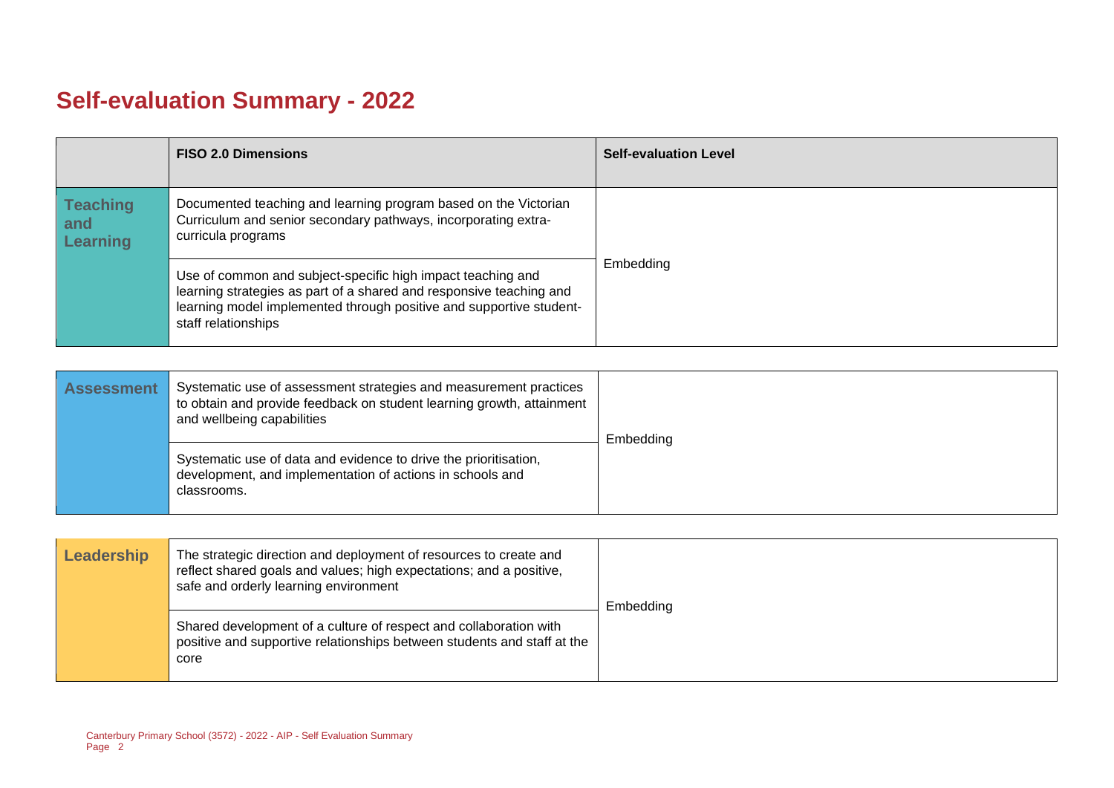# **Self-evaluation Summary - 2022**

|                                           | <b>FISO 2.0 Dimensions</b>                                                                                                                                                                                                       | <b>Self-evaluation Level</b> |
|-------------------------------------------|----------------------------------------------------------------------------------------------------------------------------------------------------------------------------------------------------------------------------------|------------------------------|
| <b>Teaching</b><br>and<br><b>Learning</b> | Documented teaching and learning program based on the Victorian<br>Curriculum and senior secondary pathways, incorporating extra-<br>curricula programs                                                                          |                              |
|                                           | Use of common and subject-specific high impact teaching and<br>learning strategies as part of a shared and responsive teaching and<br>learning model implemented through positive and supportive student-<br>staff relationships | Embedding                    |

| <b>Assessment</b> | Systematic use of assessment strategies and measurement practices<br>to obtain and provide feedback on student learning growth, attainment<br>and wellbeing capabilities | Embedding |
|-------------------|--------------------------------------------------------------------------------------------------------------------------------------------------------------------------|-----------|
|                   | Systematic use of data and evidence to drive the prioritisation,<br>development, and implementation of actions in schools and<br>classrooms.                             |           |

| Leadership | The strategic direction and deployment of resources to create and<br>reflect shared goals and values; high expectations; and a positive,<br>safe and orderly learning environment | Embedding |
|------------|-----------------------------------------------------------------------------------------------------------------------------------------------------------------------------------|-----------|
|            | Shared development of a culture of respect and collaboration with<br>positive and supportive relationships between students and staff at the<br>core                              |           |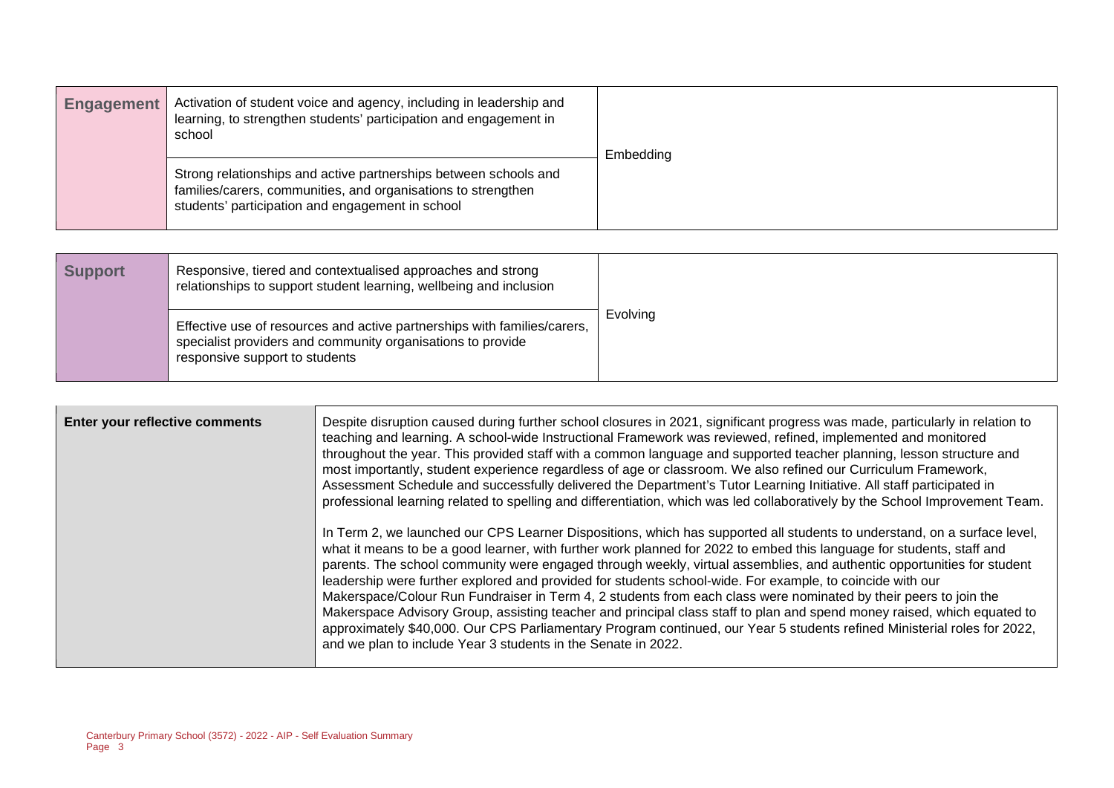| <b>Engagement</b> | Activation of student voice and agency, including in leadership and<br>learning, to strengthen students' participation and engagement in<br>school                                    | Embedding |
|-------------------|---------------------------------------------------------------------------------------------------------------------------------------------------------------------------------------|-----------|
|                   | Strong relationships and active partnerships between schools and<br>families/carers, communities, and organisations to strengthen<br>students' participation and engagement in school |           |

| <b>Support</b> | Responsive, tiered and contextualised approaches and strong<br>relationships to support student learning, wellbeing and inclusion                                         |          |
|----------------|---------------------------------------------------------------------------------------------------------------------------------------------------------------------------|----------|
|                | Effective use of resources and active partnerships with families/carers,<br>specialist providers and community organisations to provide<br>responsive support to students | Evolving |

| Enter your reflective comments | Despite disruption caused during further school closures in 2021, significant progress was made, particularly in relation to<br>teaching and learning. A school-wide Instructional Framework was reviewed, refined, implemented and monitored<br>throughout the year. This provided staff with a common language and supported teacher planning, lesson structure and<br>most importantly, student experience regardless of age or classroom. We also refined our Curriculum Framework,<br>Assessment Schedule and successfully delivered the Department's Tutor Learning Initiative. All staff participated in<br>professional learning related to spelling and differentiation, which was led collaboratively by the School Improvement Team.<br>In Term 2, we launched our CPS Learner Dispositions, which has supported all students to understand, on a surface level,<br>what it means to be a good learner, with further work planned for 2022 to embed this language for students, staff and<br>parents. The school community were engaged through weekly, virtual assemblies, and authentic opportunities for student<br>leadership were further explored and provided for students school-wide. For example, to coincide with our<br>Makerspace/Colour Run Fundraiser in Term 4, 2 students from each class were nominated by their peers to join the |
|--------------------------------|-----------------------------------------------------------------------------------------------------------------------------------------------------------------------------------------------------------------------------------------------------------------------------------------------------------------------------------------------------------------------------------------------------------------------------------------------------------------------------------------------------------------------------------------------------------------------------------------------------------------------------------------------------------------------------------------------------------------------------------------------------------------------------------------------------------------------------------------------------------------------------------------------------------------------------------------------------------------------------------------------------------------------------------------------------------------------------------------------------------------------------------------------------------------------------------------------------------------------------------------------------------------------------------------------------------------------------------------------------------------|
|                                | Makerspace Advisory Group, assisting teacher and principal class staff to plan and spend money raised, which equated to<br>approximately \$40,000. Our CPS Parliamentary Program continued, our Year 5 students refined Ministerial roles for 2022,<br>and we plan to include Year 3 students in the Senate in 2022.                                                                                                                                                                                                                                                                                                                                                                                                                                                                                                                                                                                                                                                                                                                                                                                                                                                                                                                                                                                                                                            |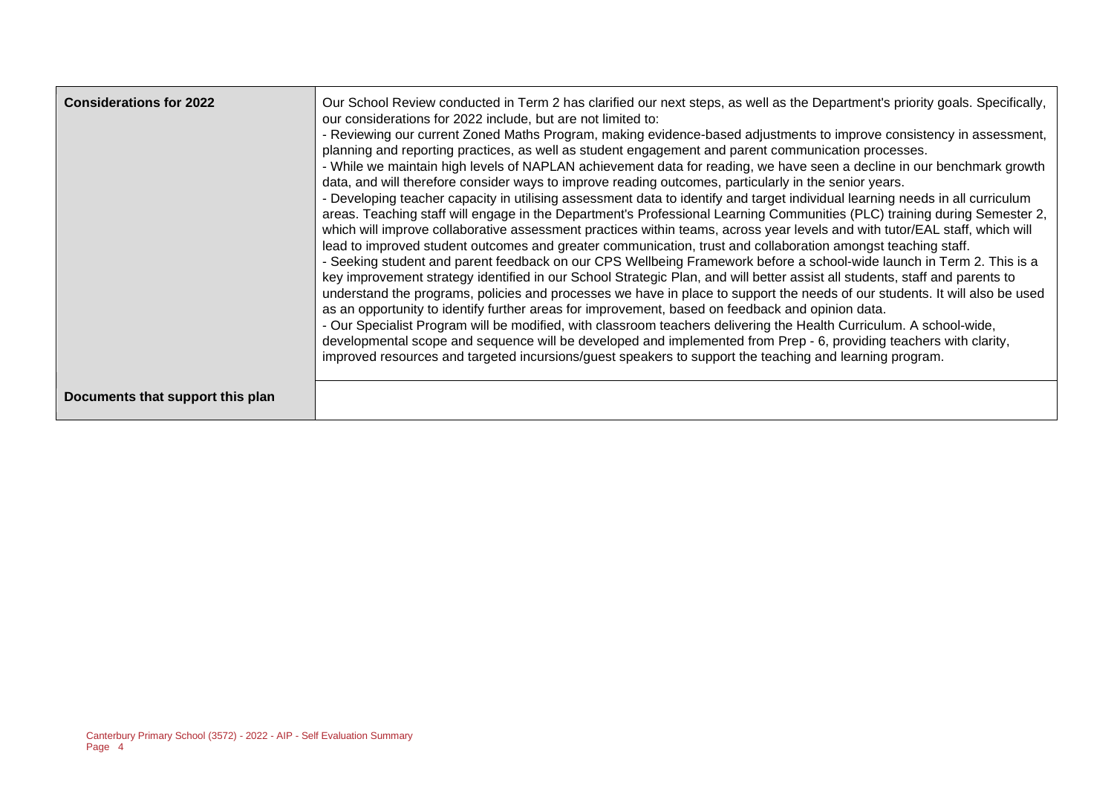| <b>Considerations for 2022</b>   | Our School Review conducted in Term 2 has clarified our next steps, as well as the Department's priority goals. Specifically,<br>our considerations for 2022 include, but are not limited to:<br>- Reviewing our current Zoned Maths Program, making evidence-based adjustments to improve consistency in assessment,<br>planning and reporting practices, as well as student engagement and parent communication processes.<br>- While we maintain high levels of NAPLAN achievement data for reading, we have seen a decline in our benchmark growth<br>data, and will therefore consider ways to improve reading outcomes, particularly in the senior years.<br>- Developing teacher capacity in utilising assessment data to identify and target individual learning needs in all curriculum<br>areas. Teaching staff will engage in the Department's Professional Learning Communities (PLC) training during Semester 2,<br>which will improve collaborative assessment practices within teams, across year levels and with tutor/EAL staff, which will<br>lead to improved student outcomes and greater communication, trust and collaboration amongst teaching staff.<br>- Seeking student and parent feedback on our CPS Wellbeing Framework before a school-wide launch in Term 2. This is a<br>key improvement strategy identified in our School Strategic Plan, and will better assist all students, staff and parents to<br>understand the programs, policies and processes we have in place to support the needs of our students. It will also be used<br>as an opportunity to identify further areas for improvement, based on feedback and opinion data.<br>- Our Specialist Program will be modified, with classroom teachers delivering the Health Curriculum. A school-wide,<br>developmental scope and sequence will be developed and implemented from Prep - 6, providing teachers with clarity,<br>improved resources and targeted incursions/guest speakers to support the teaching and learning program. |
|----------------------------------|---------------------------------------------------------------------------------------------------------------------------------------------------------------------------------------------------------------------------------------------------------------------------------------------------------------------------------------------------------------------------------------------------------------------------------------------------------------------------------------------------------------------------------------------------------------------------------------------------------------------------------------------------------------------------------------------------------------------------------------------------------------------------------------------------------------------------------------------------------------------------------------------------------------------------------------------------------------------------------------------------------------------------------------------------------------------------------------------------------------------------------------------------------------------------------------------------------------------------------------------------------------------------------------------------------------------------------------------------------------------------------------------------------------------------------------------------------------------------------------------------------------------------------------------------------------------------------------------------------------------------------------------------------------------------------------------------------------------------------------------------------------------------------------------------------------------------------------------------------------------------------------------------------------------------------------------------------------------------------------------------------------------------------|
| Documents that support this plan |                                                                                                                                                                                                                                                                                                                                                                                                                                                                                                                                                                                                                                                                                                                                                                                                                                                                                                                                                                                                                                                                                                                                                                                                                                                                                                                                                                                                                                                                                                                                                                                                                                                                                                                                                                                                                                                                                                                                                                                                                                 |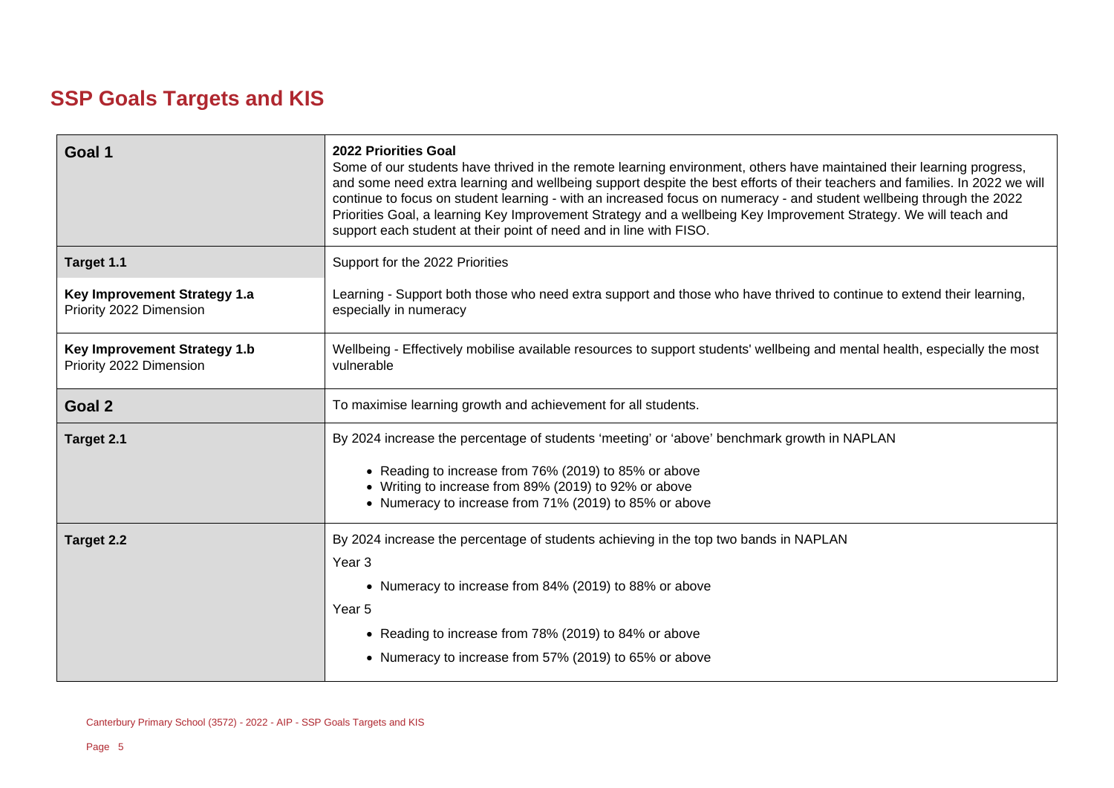# **SSP Goals Targets and KIS**

| Goal 1                                                         | <b>2022 Priorities Goal</b><br>Some of our students have thrived in the remote learning environment, others have maintained their learning progress,<br>and some need extra learning and wellbeing support despite the best efforts of their teachers and families. In 2022 we will<br>continue to focus on student learning - with an increased focus on numeracy - and student wellbeing through the 2022<br>Priorities Goal, a learning Key Improvement Strategy and a wellbeing Key Improvement Strategy. We will teach and<br>support each student at their point of need and in line with FISO. |  |  |
|----------------------------------------------------------------|-------------------------------------------------------------------------------------------------------------------------------------------------------------------------------------------------------------------------------------------------------------------------------------------------------------------------------------------------------------------------------------------------------------------------------------------------------------------------------------------------------------------------------------------------------------------------------------------------------|--|--|
| Target 1.1                                                     | Support for the 2022 Priorities                                                                                                                                                                                                                                                                                                                                                                                                                                                                                                                                                                       |  |  |
| Key Improvement Strategy 1.a<br>Priority 2022 Dimension        | Learning - Support both those who need extra support and those who have thrived to continue to extend their learning,<br>especially in numeracy                                                                                                                                                                                                                                                                                                                                                                                                                                                       |  |  |
| <b>Key Improvement Strategy 1.b</b><br>Priority 2022 Dimension | Wellbeing - Effectively mobilise available resources to support students' wellbeing and mental health, especially the most<br>vulnerable                                                                                                                                                                                                                                                                                                                                                                                                                                                              |  |  |
| Goal 2                                                         | To maximise learning growth and achievement for all students.                                                                                                                                                                                                                                                                                                                                                                                                                                                                                                                                         |  |  |
| Target 2.1                                                     | By 2024 increase the percentage of students 'meeting' or 'above' benchmark growth in NAPLAN<br>• Reading to increase from 76% (2019) to 85% or above<br>• Writing to increase from 89% (2019) to 92% or above<br>• Numeracy to increase from 71% (2019) to 85% or above                                                                                                                                                                                                                                                                                                                               |  |  |
| Target 2.2                                                     | By 2024 increase the percentage of students achieving in the top two bands in NAPLAN<br>Year <sub>3</sub><br>• Numeracy to increase from 84% (2019) to 88% or above<br>Year 5<br>• Reading to increase from 78% (2019) to 84% or above<br>• Numeracy to increase from 57% (2019) to 65% or above                                                                                                                                                                                                                                                                                                      |  |  |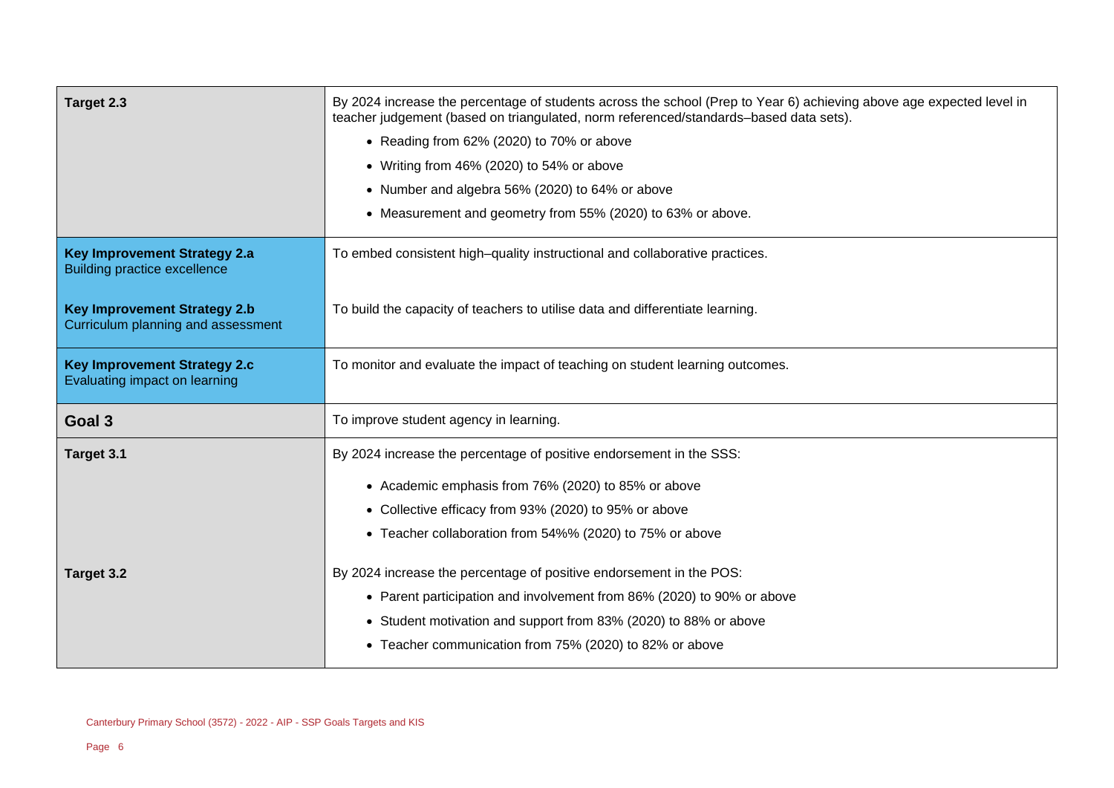| Target 2.3                                                                                                                                                                                                                                                    | By 2024 increase the percentage of students across the school (Prep to Year 6) achieving above age expected level in<br>teacher judgement (based on triangulated, norm referenced/standards-based data sets).<br>• Reading from 62% (2020) to 70% or above<br>• Writing from 46% (2020) to 54% or above<br>• Number and algebra 56% (2020) to 64% or above<br>• Measurement and geometry from 55% (2020) to 63% or above. |  |
|---------------------------------------------------------------------------------------------------------------------------------------------------------------------------------------------------------------------------------------------------------------|---------------------------------------------------------------------------------------------------------------------------------------------------------------------------------------------------------------------------------------------------------------------------------------------------------------------------------------------------------------------------------------------------------------------------|--|
| <b>Key Improvement Strategy 2.a</b><br><b>Building practice excellence</b>                                                                                                                                                                                    | To embed consistent high-quality instructional and collaborative practices.                                                                                                                                                                                                                                                                                                                                               |  |
| <b>Key Improvement Strategy 2.b</b><br>Curriculum planning and assessment                                                                                                                                                                                     | To build the capacity of teachers to utilise data and differentiate learning.                                                                                                                                                                                                                                                                                                                                             |  |
| <b>Key Improvement Strategy 2.c</b><br>Evaluating impact on learning                                                                                                                                                                                          | To monitor and evaluate the impact of teaching on student learning outcomes.                                                                                                                                                                                                                                                                                                                                              |  |
| Goal 3                                                                                                                                                                                                                                                        | To improve student agency in learning.                                                                                                                                                                                                                                                                                                                                                                                    |  |
| By 2024 increase the percentage of positive endorsement in the SSS:<br>Target 3.1<br>• Academic emphasis from 76% (2020) to 85% or above<br>• Collective efficacy from 93% (2020) to 95% or above<br>• Teacher collaboration from 54%% (2020) to 75% or above |                                                                                                                                                                                                                                                                                                                                                                                                                           |  |
| Target 3.2                                                                                                                                                                                                                                                    | By 2024 increase the percentage of positive endorsement in the POS:<br>• Parent participation and involvement from 86% (2020) to 90% or above<br>• Student motivation and support from 83% (2020) to 88% or above<br>• Teacher communication from 75% (2020) to 82% or above                                                                                                                                              |  |

 $\overline{a}$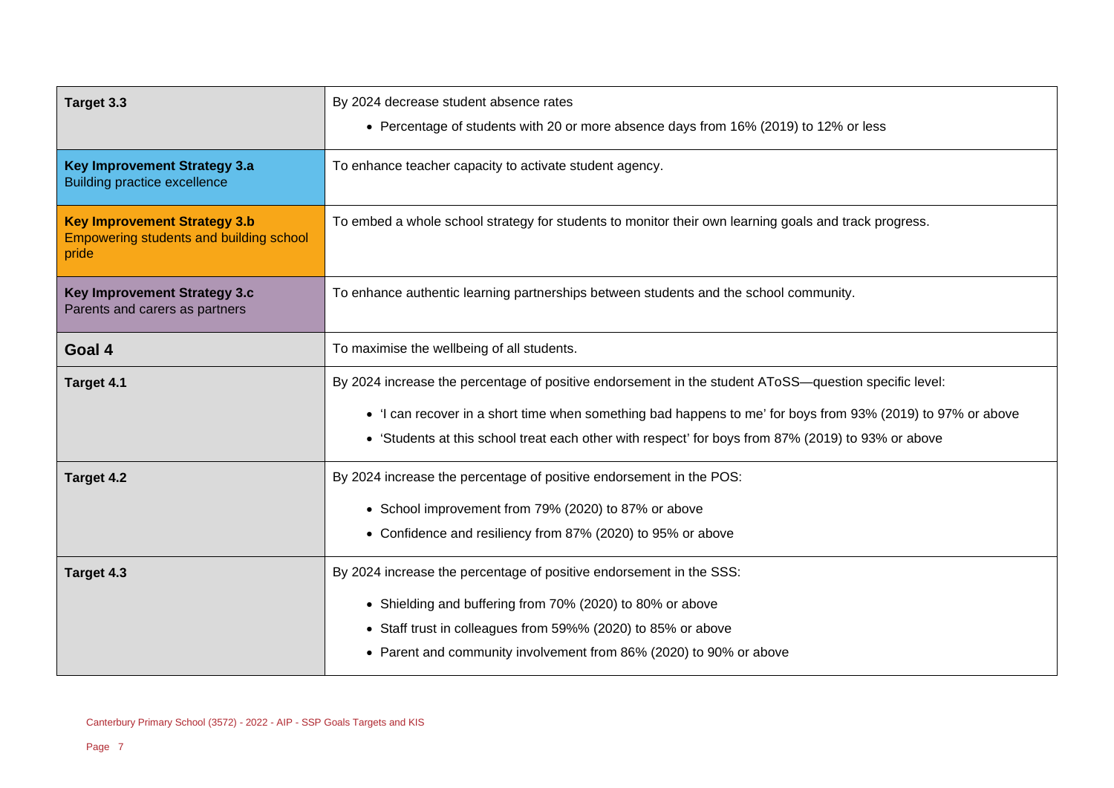| Target 3.3                                                                              | By 2024 decrease student absence rates<br>• Percentage of students with 20 or more absence days from 16% (2019) to 12% or less |  |  |
|-----------------------------------------------------------------------------------------|--------------------------------------------------------------------------------------------------------------------------------|--|--|
|                                                                                         |                                                                                                                                |  |  |
| <b>Key Improvement Strategy 3.a</b><br><b>Building practice excellence</b>              | To enhance teacher capacity to activate student agency.                                                                        |  |  |
| <b>Key Improvement Strategy 3.b</b><br>Empowering students and building school<br>pride | To embed a whole school strategy for students to monitor their own learning goals and track progress.                          |  |  |
| <b>Key Improvement Strategy 3.c</b><br>Parents and carers as partners                   | To enhance authentic learning partnerships between students and the school community.                                          |  |  |
| Goal 4                                                                                  | To maximise the wellbeing of all students.                                                                                     |  |  |
| Target 4.1                                                                              | By 2024 increase the percentage of positive endorsement in the student AToSS—question specific level:                          |  |  |
|                                                                                         | • 'I can recover in a short time when something bad happens to me' for boys from 93% (2019) to 97% or above                    |  |  |
|                                                                                         | • 'Students at this school treat each other with respect' for boys from 87% (2019) to 93% or above                             |  |  |
| Target 4.2                                                                              | By 2024 increase the percentage of positive endorsement in the POS:                                                            |  |  |
|                                                                                         | • School improvement from 79% (2020) to 87% or above                                                                           |  |  |
|                                                                                         | • Confidence and resiliency from 87% (2020) to 95% or above                                                                    |  |  |
| Target 4.3                                                                              | By 2024 increase the percentage of positive endorsement in the SSS:                                                            |  |  |
|                                                                                         | • Shielding and buffering from 70% (2020) to 80% or above                                                                      |  |  |
| • Staff trust in colleagues from 59%% (2020) to 85% or above                            |                                                                                                                                |  |  |
|                                                                                         | Parent and community involvement from 86% (2020) to 90% or above<br>$\bullet$                                                  |  |  |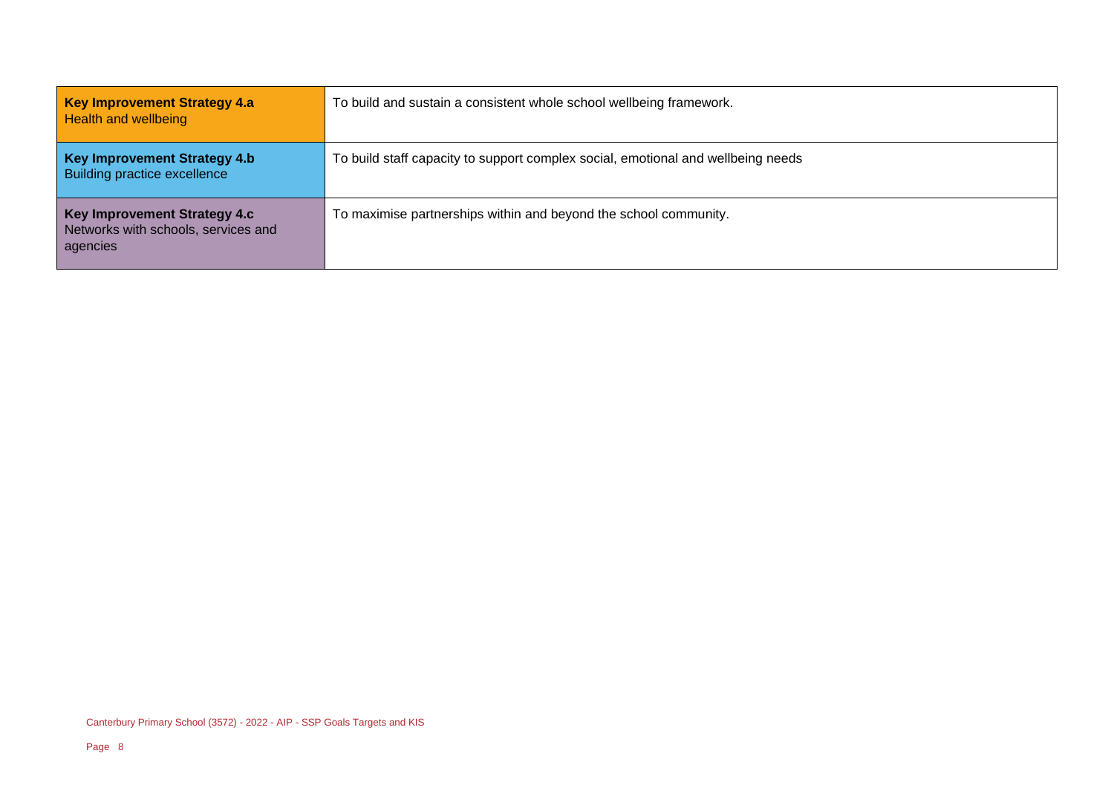| <b>Key Improvement Strategy 4.a</b><br><b>Health and wellbeing</b>                     | To build and sustain a consistent whole school wellbeing framework.              |
|----------------------------------------------------------------------------------------|----------------------------------------------------------------------------------|
| <b>Key Improvement Strategy 4.b</b><br>Building practice excellence                    | To build staff capacity to support complex social, emotional and wellbeing needs |
| <b>Key Improvement Strategy 4.c</b><br>Networks with schools, services and<br>agencies | To maximise partnerships within and beyond the school community.                 |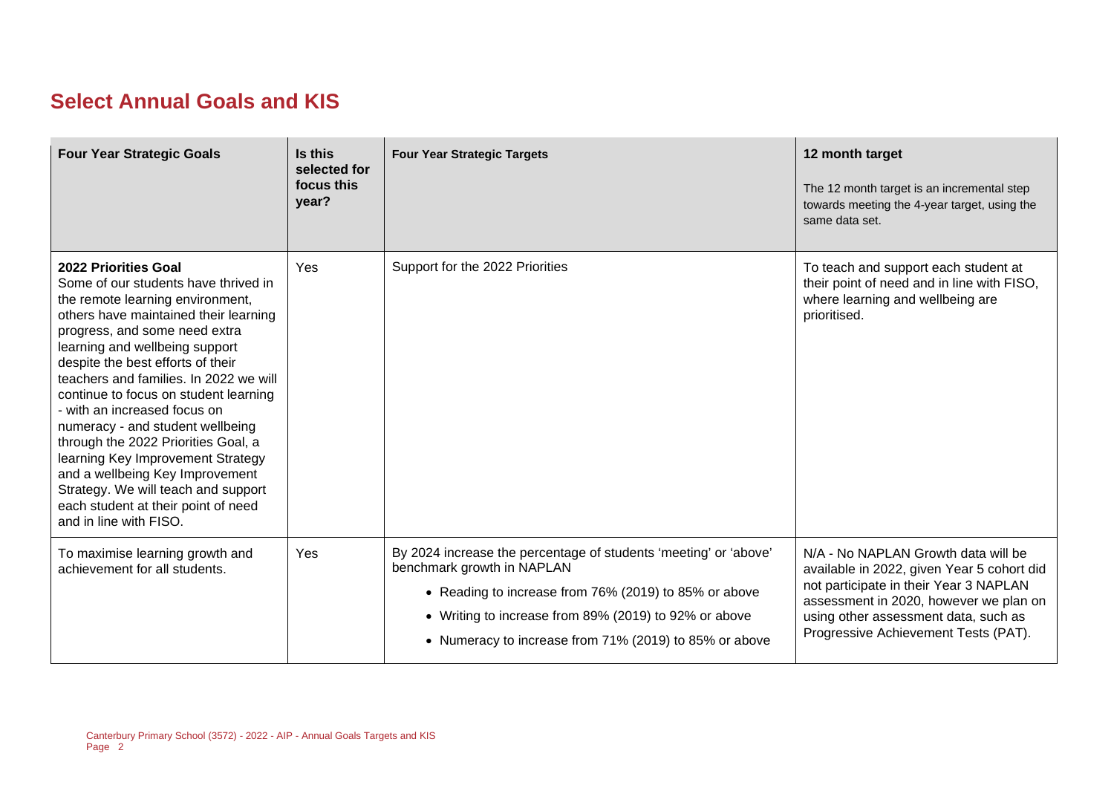## **Select Annual Goals and KIS**

| <b>Four Year Strategic Goals</b>                                                                                                                                                                                                                                                                                                                                                                                                                                                                                                                                                                                                | Is this<br>selected for<br>focus this<br>year? | <b>Four Year Strategic Targets</b>                                                                                                                                                                                                                                         | 12 month target<br>The 12 month target is an incremental step<br>towards meeting the 4-year target, using the<br>same data set.                                                                                                                       |
|---------------------------------------------------------------------------------------------------------------------------------------------------------------------------------------------------------------------------------------------------------------------------------------------------------------------------------------------------------------------------------------------------------------------------------------------------------------------------------------------------------------------------------------------------------------------------------------------------------------------------------|------------------------------------------------|----------------------------------------------------------------------------------------------------------------------------------------------------------------------------------------------------------------------------------------------------------------------------|-------------------------------------------------------------------------------------------------------------------------------------------------------------------------------------------------------------------------------------------------------|
| 2022 Priorities Goal<br>Some of our students have thrived in<br>the remote learning environment,<br>others have maintained their learning<br>progress, and some need extra<br>learning and wellbeing support<br>despite the best efforts of their<br>teachers and families. In 2022 we will<br>continue to focus on student learning<br>- with an increased focus on<br>numeracy - and student wellbeing<br>through the 2022 Priorities Goal, a<br>learning Key Improvement Strategy<br>and a wellbeing Key Improvement<br>Strategy. We will teach and support<br>each student at their point of need<br>and in line with FISO. | Yes                                            | Support for the 2022 Priorities                                                                                                                                                                                                                                            | To teach and support each student at<br>their point of need and in line with FISO,<br>where learning and wellbeing are<br>prioritised.                                                                                                                |
| To maximise learning growth and<br>achievement for all students.                                                                                                                                                                                                                                                                                                                                                                                                                                                                                                                                                                | Yes                                            | By 2024 increase the percentage of students 'meeting' or 'above'<br>benchmark growth in NAPLAN<br>• Reading to increase from 76% (2019) to 85% or above<br>• Writing to increase from 89% (2019) to 92% or above<br>• Numeracy to increase from 71% (2019) to 85% or above | N/A - No NAPLAN Growth data will be<br>available in 2022, given Year 5 cohort did<br>not participate in their Year 3 NAPLAN<br>assessment in 2020, however we plan on<br>using other assessment data, such as<br>Progressive Achievement Tests (PAT). |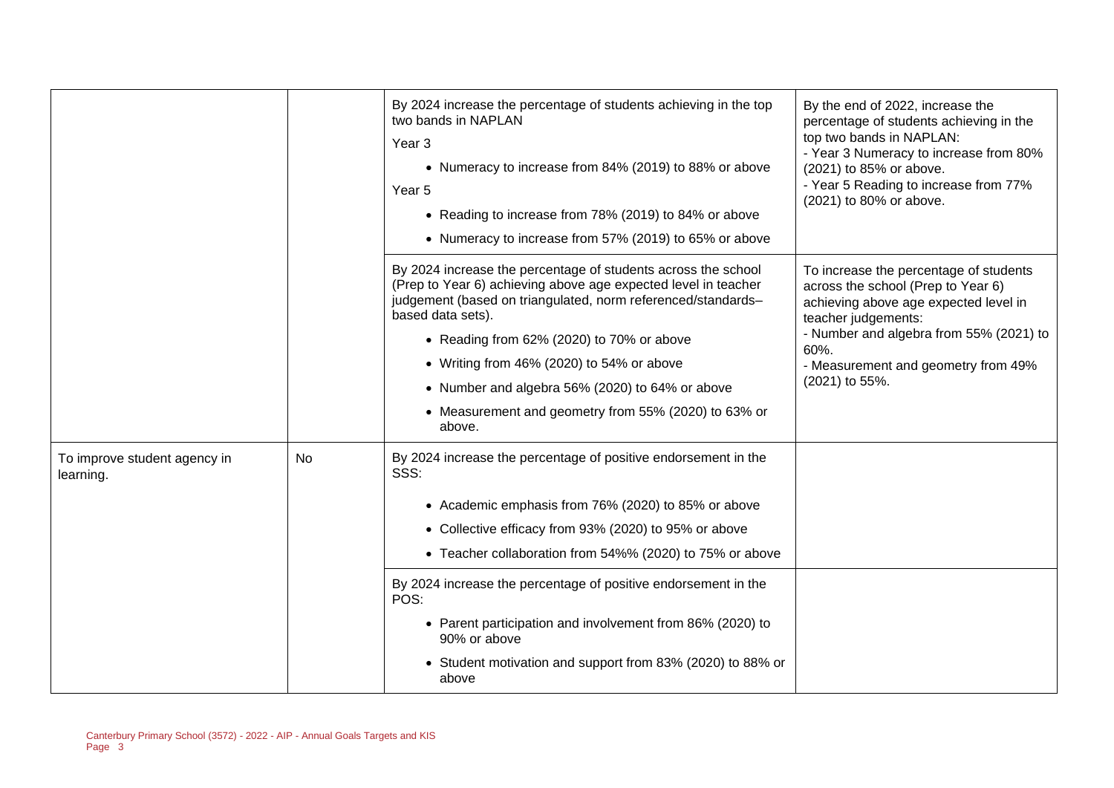|                                           |    | By 2024 increase the percentage of students achieving in the top<br>two bands in NAPLAN<br>Year <sub>3</sub><br>• Numeracy to increase from 84% (2019) to 88% or above<br>Year 5<br>• Reading to increase from 78% (2019) to 84% or above<br>• Numeracy to increase from 57% (2019) to 65% or above                                                                                                                                                                              | By the end of 2022, increase the<br>percentage of students achieving in the<br>top two bands in NAPLAN:<br>- Year 3 Numeracy to increase from 80%<br>(2021) to 85% or above.<br>- Year 5 Reading to increase from 77%<br>(2021) to 80% or above.         |
|-------------------------------------------|----|----------------------------------------------------------------------------------------------------------------------------------------------------------------------------------------------------------------------------------------------------------------------------------------------------------------------------------------------------------------------------------------------------------------------------------------------------------------------------------|----------------------------------------------------------------------------------------------------------------------------------------------------------------------------------------------------------------------------------------------------------|
|                                           |    | By 2024 increase the percentage of students across the school<br>(Prep to Year 6) achieving above age expected level in teacher<br>judgement (based on triangulated, norm referenced/standards-<br>based data sets).<br>• Reading from 62% (2020) to 70% or above<br>• Writing from 46% (2020) to 54% or above<br>• Number and algebra 56% (2020) to 64% or above<br>• Measurement and geometry from 55% (2020) to 63% or<br>above.                                              | To increase the percentage of students<br>across the school (Prep to Year 6)<br>achieving above age expected level in<br>teacher judgements:<br>- Number and algebra from 55% (2021) to<br>60%.<br>- Measurement and geometry from 49%<br>(2021) to 55%. |
| To improve student agency in<br>learning. | No | By 2024 increase the percentage of positive endorsement in the<br>SSS:<br>• Academic emphasis from 76% (2020) to 85% or above<br>• Collective efficacy from 93% (2020) to 95% or above<br>• Teacher collaboration from 54%% (2020) to 75% or above<br>By 2024 increase the percentage of positive endorsement in the<br>POS:<br>• Parent participation and involvement from 86% (2020) to<br>90% or above<br>• Student motivation and support from 83% (2020) to 88% or<br>above |                                                                                                                                                                                                                                                          |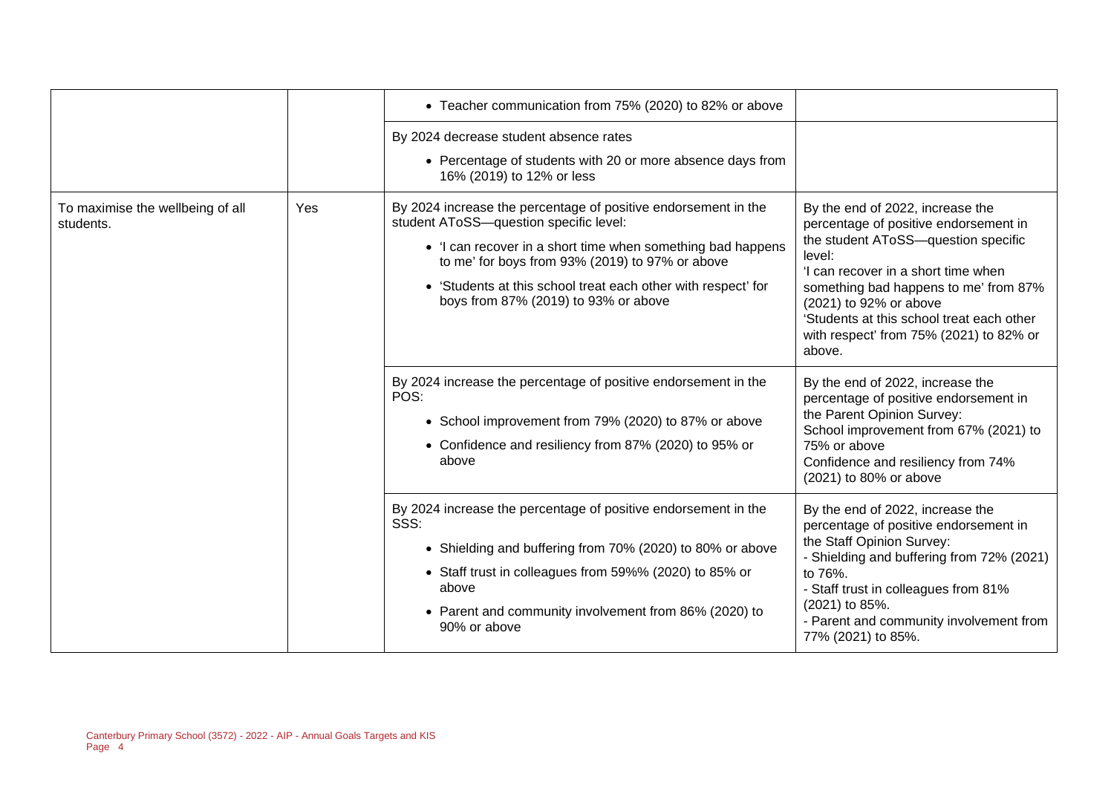|                                               |     | • Teacher communication from 75% (2020) to 82% or above                                                                                                                                                                                                                                                                             |                                                                                                                                                                                                                                                                                                                                        |
|-----------------------------------------------|-----|-------------------------------------------------------------------------------------------------------------------------------------------------------------------------------------------------------------------------------------------------------------------------------------------------------------------------------------|----------------------------------------------------------------------------------------------------------------------------------------------------------------------------------------------------------------------------------------------------------------------------------------------------------------------------------------|
|                                               |     | By 2024 decrease student absence rates<br>• Percentage of students with 20 or more absence days from<br>16% (2019) to 12% or less                                                                                                                                                                                                   |                                                                                                                                                                                                                                                                                                                                        |
| To maximise the wellbeing of all<br>students. | Yes | By 2024 increase the percentage of positive endorsement in the<br>student AToSS-question specific level:<br>• 'I can recover in a short time when something bad happens<br>to me' for boys from 93% (2019) to 97% or above<br>• 'Students at this school treat each other with respect' for<br>boys from 87% (2019) to 93% or above | By the end of 2022, increase the<br>percentage of positive endorsement in<br>the student AToSS-question specific<br>level:<br>'I can recover in a short time when<br>something bad happens to me' from 87%<br>(2021) to 92% or above<br>'Students at this school treat each other<br>with respect' from 75% (2021) to 82% or<br>above. |
|                                               |     | By 2024 increase the percentage of positive endorsement in the<br>POS:<br>• School improvement from 79% (2020) to 87% or above<br>• Confidence and resiliency from 87% (2020) to 95% or<br>above                                                                                                                                    | By the end of 2022, increase the<br>percentage of positive endorsement in<br>the Parent Opinion Survey:<br>School improvement from 67% (2021) to<br>75% or above<br>Confidence and resiliency from 74%<br>(2021) to 80% or above                                                                                                       |
|                                               |     | By 2024 increase the percentage of positive endorsement in the<br>SSS:<br>• Shielding and buffering from 70% (2020) to 80% or above<br>• Staff trust in colleagues from 59%% (2020) to 85% or<br>above<br>• Parent and community involvement from 86% (2020) to<br>90% or above                                                     | By the end of 2022, increase the<br>percentage of positive endorsement in<br>the Staff Opinion Survey:<br>- Shielding and buffering from 72% (2021)<br>to 76%.<br>- Staff trust in colleagues from 81%<br>(2021) to 85%.<br>- Parent and community involvement from<br>77% (2021) to 85%.                                              |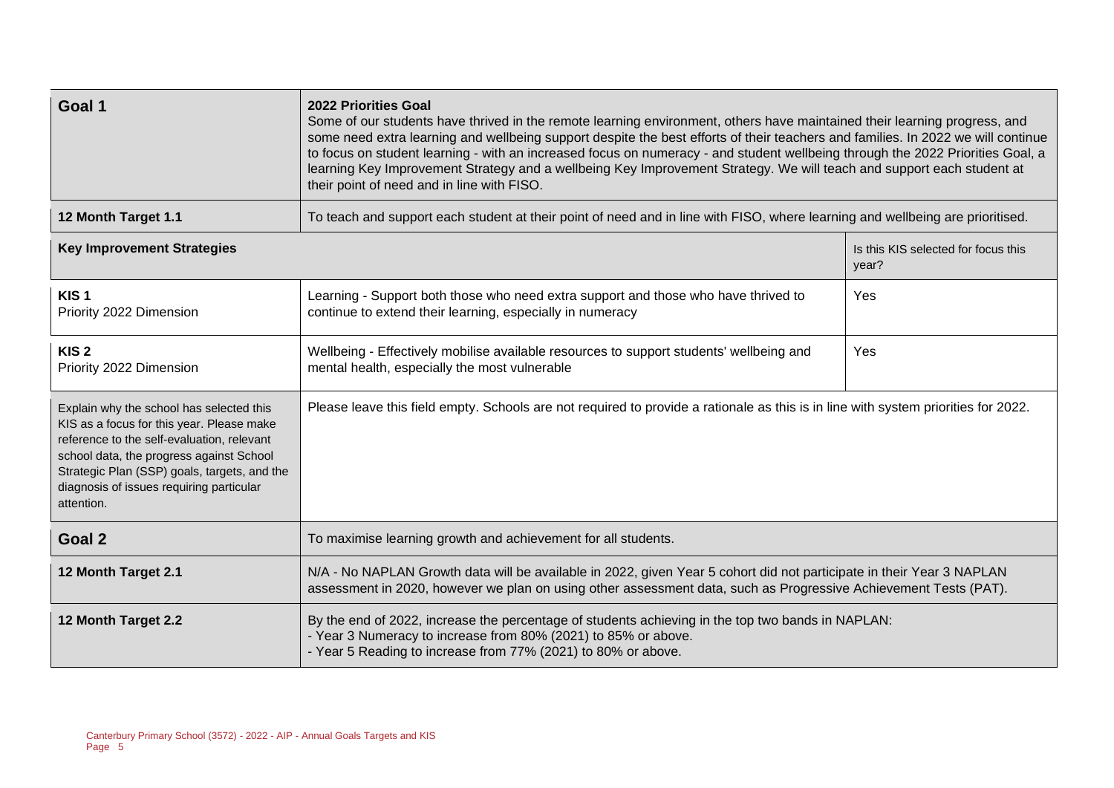| Goal 1                                                                                                                                                                                                                                                                                    | <b>2022 Priorities Goal</b><br>Some of our students have thrived in the remote learning environment, others have maintained their learning progress, and<br>some need extra learning and wellbeing support despite the best efforts of their teachers and families. In 2022 we will continue<br>to focus on student learning - with an increased focus on numeracy - and student wellbeing through the 2022 Priorities Goal, a<br>learning Key Improvement Strategy and a wellbeing Key Improvement Strategy. We will teach and support each student at<br>their point of need and in line with FISO. |                                              |  |  |  |
|-------------------------------------------------------------------------------------------------------------------------------------------------------------------------------------------------------------------------------------------------------------------------------------------|-------------------------------------------------------------------------------------------------------------------------------------------------------------------------------------------------------------------------------------------------------------------------------------------------------------------------------------------------------------------------------------------------------------------------------------------------------------------------------------------------------------------------------------------------------------------------------------------------------|----------------------------------------------|--|--|--|
| 12 Month Target 1.1                                                                                                                                                                                                                                                                       | To teach and support each student at their point of need and in line with FISO, where learning and wellbeing are prioritised.                                                                                                                                                                                                                                                                                                                                                                                                                                                                         |                                              |  |  |  |
| <b>Key Improvement Strategies</b>                                                                                                                                                                                                                                                         |                                                                                                                                                                                                                                                                                                                                                                                                                                                                                                                                                                                                       | Is this KIS selected for focus this<br>year? |  |  |  |
| KIS <sub>1</sub><br>Priority 2022 Dimension                                                                                                                                                                                                                                               | Learning - Support both those who need extra support and those who have thrived to<br>continue to extend their learning, especially in numeracy                                                                                                                                                                                                                                                                                                                                                                                                                                                       | Yes                                          |  |  |  |
| KIS <sub>2</sub><br>Priority 2022 Dimension                                                                                                                                                                                                                                               | Wellbeing - Effectively mobilise available resources to support students' wellbeing and<br>mental health, especially the most vulnerable                                                                                                                                                                                                                                                                                                                                                                                                                                                              | Yes                                          |  |  |  |
| Explain why the school has selected this<br>KIS as a focus for this year. Please make<br>reference to the self-evaluation, relevant<br>school data, the progress against School<br>Strategic Plan (SSP) goals, targets, and the<br>diagnosis of issues requiring particular<br>attention. | Please leave this field empty. Schools are not required to provide a rationale as this is in line with system priorities for 2022.                                                                                                                                                                                                                                                                                                                                                                                                                                                                    |                                              |  |  |  |
| Goal 2                                                                                                                                                                                                                                                                                    | To maximise learning growth and achievement for all students.                                                                                                                                                                                                                                                                                                                                                                                                                                                                                                                                         |                                              |  |  |  |
| 12 Month Target 2.1                                                                                                                                                                                                                                                                       | N/A - No NAPLAN Growth data will be available in 2022, given Year 5 cohort did not participate in their Year 3 NAPLAN<br>assessment in 2020, however we plan on using other assessment data, such as Progressive Achievement Tests (PAT).                                                                                                                                                                                                                                                                                                                                                             |                                              |  |  |  |
| 12 Month Target 2.2                                                                                                                                                                                                                                                                       | By the end of 2022, increase the percentage of students achieving in the top two bands in NAPLAN:<br>- Year 3 Numeracy to increase from 80% (2021) to 85% or above.<br>- Year 5 Reading to increase from 77% (2021) to 80% or above.                                                                                                                                                                                                                                                                                                                                                                  |                                              |  |  |  |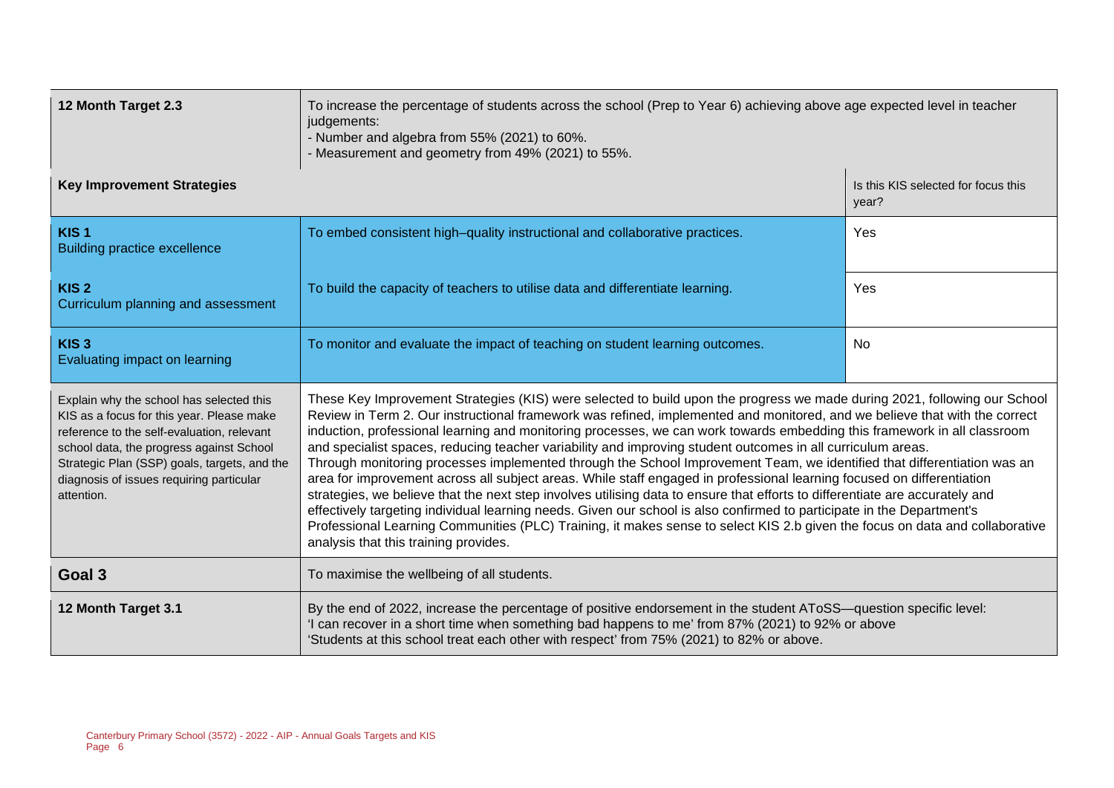| 12 Month Target 2.3                                                                                                                                                                                                                                                                       | To increase the percentage of students across the school (Prep to Year 6) achieving above age expected level in teacher<br>judgements:<br>- Number and algebra from 55% (2021) to 60%.<br>- Measurement and geometry from 49% (2021) to 55%.                                                                                                                                                                                                                                                                                                                                                                                                                                                                                                                                                                                                                                                                                                                                                                                                                                                                                                                                               |                                              |  |  |
|-------------------------------------------------------------------------------------------------------------------------------------------------------------------------------------------------------------------------------------------------------------------------------------------|--------------------------------------------------------------------------------------------------------------------------------------------------------------------------------------------------------------------------------------------------------------------------------------------------------------------------------------------------------------------------------------------------------------------------------------------------------------------------------------------------------------------------------------------------------------------------------------------------------------------------------------------------------------------------------------------------------------------------------------------------------------------------------------------------------------------------------------------------------------------------------------------------------------------------------------------------------------------------------------------------------------------------------------------------------------------------------------------------------------------------------------------------------------------------------------------|----------------------------------------------|--|--|
| <b>Key Improvement Strategies</b>                                                                                                                                                                                                                                                         |                                                                                                                                                                                                                                                                                                                                                                                                                                                                                                                                                                                                                                                                                                                                                                                                                                                                                                                                                                                                                                                                                                                                                                                            | Is this KIS selected for focus this<br>year? |  |  |
| KIS <sub>1</sub><br><b>Building practice excellence</b>                                                                                                                                                                                                                                   | To embed consistent high-quality instructional and collaborative practices.                                                                                                                                                                                                                                                                                                                                                                                                                                                                                                                                                                                                                                                                                                                                                                                                                                                                                                                                                                                                                                                                                                                | Yes                                          |  |  |
| KIS <sub>2</sub><br>Curriculum planning and assessment                                                                                                                                                                                                                                    | To build the capacity of teachers to utilise data and differentiate learning.                                                                                                                                                                                                                                                                                                                                                                                                                                                                                                                                                                                                                                                                                                                                                                                                                                                                                                                                                                                                                                                                                                              | Yes                                          |  |  |
| KIS <sub>3</sub><br>Evaluating impact on learning                                                                                                                                                                                                                                         | To monitor and evaluate the impact of teaching on student learning outcomes.                                                                                                                                                                                                                                                                                                                                                                                                                                                                                                                                                                                                                                                                                                                                                                                                                                                                                                                                                                                                                                                                                                               | <b>No</b>                                    |  |  |
| Explain why the school has selected this<br>KIS as a focus for this year. Please make<br>reference to the self-evaluation, relevant<br>school data, the progress against School<br>Strategic Plan (SSP) goals, targets, and the<br>diagnosis of issues requiring particular<br>attention. | These Key Improvement Strategies (KIS) were selected to build upon the progress we made during 2021, following our School<br>Review in Term 2. Our instructional framework was refined, implemented and monitored, and we believe that with the correct<br>induction, professional learning and monitoring processes, we can work towards embedding this framework in all classroom<br>and specialist spaces, reducing teacher variability and improving student outcomes in all curriculum areas.<br>Through monitoring processes implemented through the School Improvement Team, we identified that differentiation was an<br>area for improvement across all subject areas. While staff engaged in professional learning focused on differentiation<br>strategies, we believe that the next step involves utilising data to ensure that efforts to differentiate are accurately and<br>effectively targeting individual learning needs. Given our school is also confirmed to participate in the Department's<br>Professional Learning Communities (PLC) Training, it makes sense to select KIS 2.b given the focus on data and collaborative<br>analysis that this training provides. |                                              |  |  |
| Goal 3                                                                                                                                                                                                                                                                                    | To maximise the wellbeing of all students.                                                                                                                                                                                                                                                                                                                                                                                                                                                                                                                                                                                                                                                                                                                                                                                                                                                                                                                                                                                                                                                                                                                                                 |                                              |  |  |
| 12 Month Target 3.1                                                                                                                                                                                                                                                                       | By the end of 2022, increase the percentage of positive endorsement in the student AToSS—question specific level:<br>'I can recover in a short time when something bad happens to me' from 87% (2021) to 92% or above<br>'Students at this school treat each other with respect' from 75% (2021) to 82% or above.                                                                                                                                                                                                                                                                                                                                                                                                                                                                                                                                                                                                                                                                                                                                                                                                                                                                          |                                              |  |  |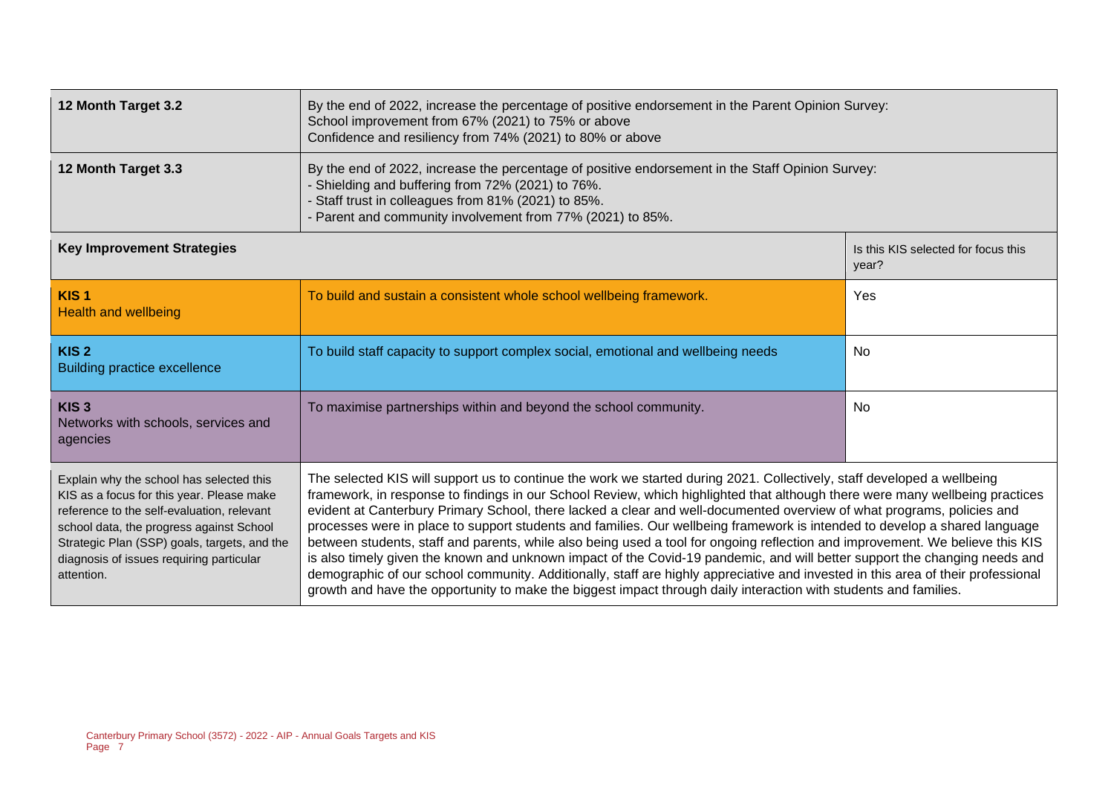| 12 Month Target 3.2                                                                                                                                                                                                                                                                                                                                                                                                                                                                                                                                                                                                                                                                                                                                                                                                                                                                                                                                                                                                                                                                                                                                                                                                                                                                                                                 | By the end of 2022, increase the percentage of positive endorsement in the Parent Opinion Survey:<br>School improvement from 67% (2021) to 75% or above<br>Confidence and resiliency from 74% (2021) to 80% or above                                                   |                                              |  |  |
|-------------------------------------------------------------------------------------------------------------------------------------------------------------------------------------------------------------------------------------------------------------------------------------------------------------------------------------------------------------------------------------------------------------------------------------------------------------------------------------------------------------------------------------------------------------------------------------------------------------------------------------------------------------------------------------------------------------------------------------------------------------------------------------------------------------------------------------------------------------------------------------------------------------------------------------------------------------------------------------------------------------------------------------------------------------------------------------------------------------------------------------------------------------------------------------------------------------------------------------------------------------------------------------------------------------------------------------|------------------------------------------------------------------------------------------------------------------------------------------------------------------------------------------------------------------------------------------------------------------------|----------------------------------------------|--|--|
| 12 Month Target 3.3                                                                                                                                                                                                                                                                                                                                                                                                                                                                                                                                                                                                                                                                                                                                                                                                                                                                                                                                                                                                                                                                                                                                                                                                                                                                                                                 | By the end of 2022, increase the percentage of positive endorsement in the Staff Opinion Survey:<br>- Shielding and buffering from 72% (2021) to 76%.<br>Staff trust in colleagues from 81% (2021) to 85%.<br>Parent and community involvement from 77% (2021) to 85%. |                                              |  |  |
| <b>Key Improvement Strategies</b>                                                                                                                                                                                                                                                                                                                                                                                                                                                                                                                                                                                                                                                                                                                                                                                                                                                                                                                                                                                                                                                                                                                                                                                                                                                                                                   |                                                                                                                                                                                                                                                                        | Is this KIS selected for focus this<br>year? |  |  |
| KIS <sub>1</sub><br><b>Health and wellbeing</b>                                                                                                                                                                                                                                                                                                                                                                                                                                                                                                                                                                                                                                                                                                                                                                                                                                                                                                                                                                                                                                                                                                                                                                                                                                                                                     | To build and sustain a consistent whole school wellbeing framework.                                                                                                                                                                                                    | Yes                                          |  |  |
| KIS <sub>2</sub><br><b>Building practice excellence</b>                                                                                                                                                                                                                                                                                                                                                                                                                                                                                                                                                                                                                                                                                                                                                                                                                                                                                                                                                                                                                                                                                                                                                                                                                                                                             | To build staff capacity to support complex social, emotional and wellbeing needs                                                                                                                                                                                       | No.                                          |  |  |
| KIS <sub>3</sub><br>Networks with schools, services and<br>agencies                                                                                                                                                                                                                                                                                                                                                                                                                                                                                                                                                                                                                                                                                                                                                                                                                                                                                                                                                                                                                                                                                                                                                                                                                                                                 | To maximise partnerships within and beyond the school community.                                                                                                                                                                                                       | <b>No</b>                                    |  |  |
| The selected KIS will support us to continue the work we started during 2021. Collectively, staff developed a wellbeing<br>Explain why the school has selected this<br>framework, in response to findings in our School Review, which highlighted that although there were many wellbeing practices<br>KIS as a focus for this year. Please make<br>evident at Canterbury Primary School, there lacked a clear and well-documented overview of what programs, policies and<br>reference to the self-evaluation, relevant<br>processes were in place to support students and families. Our wellbeing framework is intended to develop a shared language<br>school data, the progress against School<br>between students, staff and parents, while also being used a tool for ongoing reflection and improvement. We believe this KIS<br>Strategic Plan (SSP) goals, targets, and the<br>is also timely given the known and unknown impact of the Covid-19 pandemic, and will better support the changing needs and<br>diagnosis of issues requiring particular<br>demographic of our school community. Additionally, staff are highly appreciative and invested in this area of their professional<br>attention.<br>growth and have the opportunity to make the biggest impact through daily interaction with students and families. |                                                                                                                                                                                                                                                                        |                                              |  |  |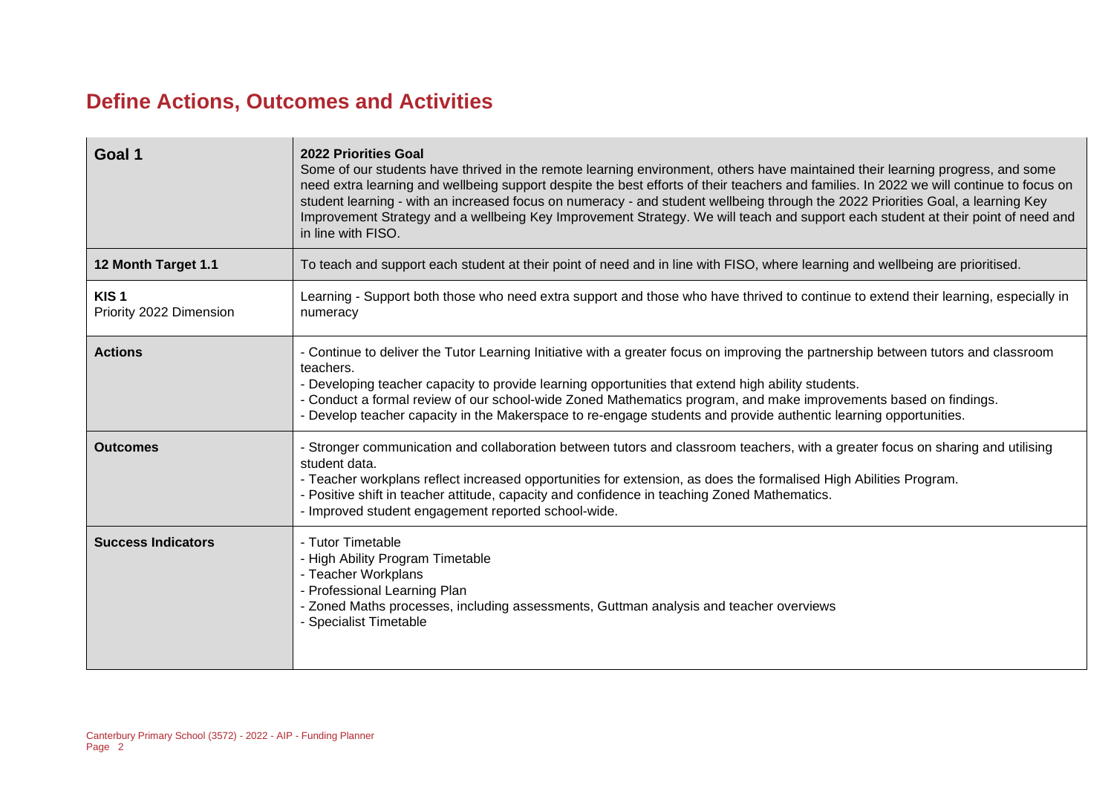## **Define Actions, Outcomes and Activities**

| Goal 1                                      | 2022 Priorities Goal<br>Some of our students have thrived in the remote learning environment, others have maintained their learning progress, and some<br>need extra learning and wellbeing support despite the best efforts of their teachers and families. In 2022 we will continue to focus on<br>student learning - with an increased focus on numeracy - and student wellbeing through the 2022 Priorities Goal, a learning Key<br>Improvement Strategy and a wellbeing Key Improvement Strategy. We will teach and support each student at their point of need and<br>in line with FISO. |
|---------------------------------------------|------------------------------------------------------------------------------------------------------------------------------------------------------------------------------------------------------------------------------------------------------------------------------------------------------------------------------------------------------------------------------------------------------------------------------------------------------------------------------------------------------------------------------------------------------------------------------------------------|
| 12 Month Target 1.1                         | To teach and support each student at their point of need and in line with FISO, where learning and wellbeing are prioritised.                                                                                                                                                                                                                                                                                                                                                                                                                                                                  |
| KIS <sub>1</sub><br>Priority 2022 Dimension | Learning - Support both those who need extra support and those who have thrived to continue to extend their learning, especially in<br>numeracy                                                                                                                                                                                                                                                                                                                                                                                                                                                |
| <b>Actions</b>                              | - Continue to deliver the Tutor Learning Initiative with a greater focus on improving the partnership between tutors and classroom<br>teachers.<br>- Developing teacher capacity to provide learning opportunities that extend high ability students.<br>- Conduct a formal review of our school-wide Zoned Mathematics program, and make improvements based on findings.<br>- Develop teacher capacity in the Makerspace to re-engage students and provide authentic learning opportunities.                                                                                                  |
| <b>Outcomes</b>                             | - Stronger communication and collaboration between tutors and classroom teachers, with a greater focus on sharing and utilising<br>student data.<br>- Teacher workplans reflect increased opportunities for extension, as does the formalised High Abilities Program.<br>- Positive shift in teacher attitude, capacity and confidence in teaching Zoned Mathematics.<br>- Improved student engagement reported school-wide.                                                                                                                                                                   |
| <b>Success Indicators</b>                   | - Tutor Timetable<br>- High Ability Program Timetable<br>- Teacher Workplans<br>- Professional Learning Plan<br>- Zoned Maths processes, including assessments, Guttman analysis and teacher overviews<br><b>Specialist Timetable</b>                                                                                                                                                                                                                                                                                                                                                          |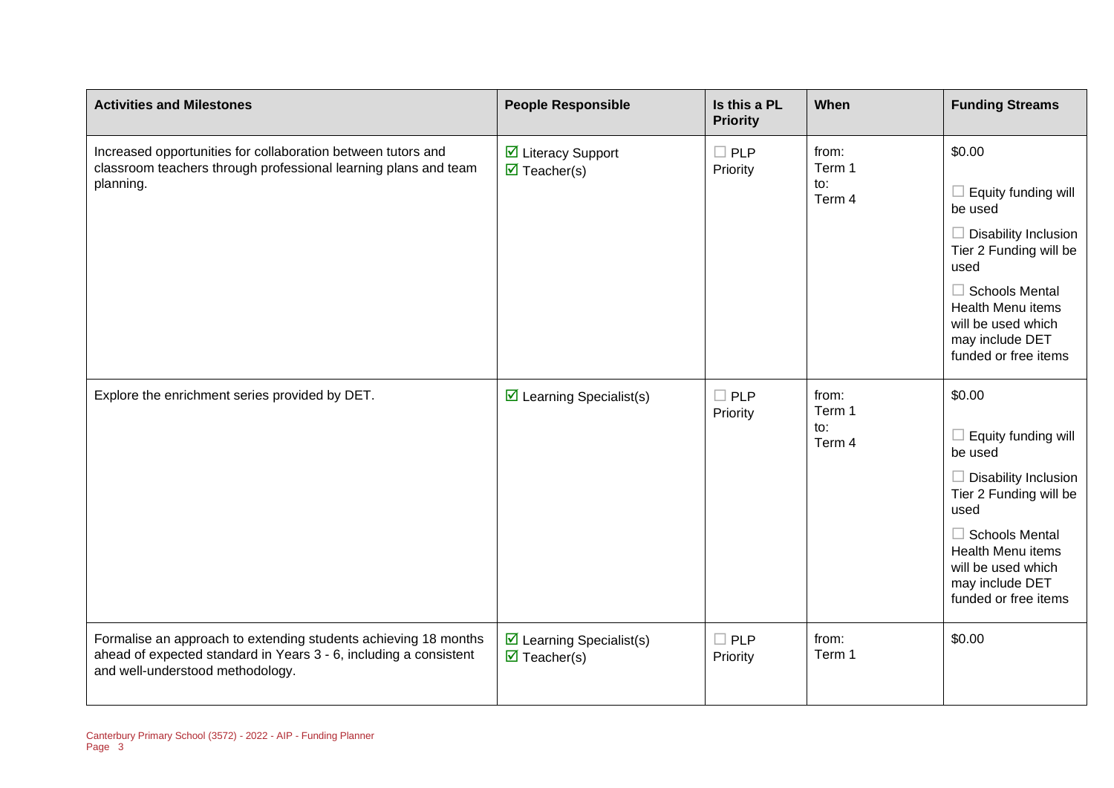| <b>Activities and Milestones</b>                                                                                                                                         | <b>People Responsible</b>                                                     | Is this a PL<br><b>Priority</b> | When                             | <b>Funding Streams</b>                                                                                                                                                                                                          |
|--------------------------------------------------------------------------------------------------------------------------------------------------------------------------|-------------------------------------------------------------------------------|---------------------------------|----------------------------------|---------------------------------------------------------------------------------------------------------------------------------------------------------------------------------------------------------------------------------|
| Increased opportunities for collaboration between tutors and<br>classroom teachers through professional learning plans and team<br>planning.                             | ☑ Literacy Support<br>$\overline{\mathbf{z}}$ Teacher(s)                      | $\square$ PLP<br>Priority       | from:<br>Term 1<br>to:<br>Term 4 | \$0.00<br>Equity funding will<br>be used<br>$\Box$ Disability Inclusion<br>Tier 2 Funding will be<br>used<br>$\Box$ Schools Mental<br><b>Health Menu items</b><br>will be used which<br>may include DET<br>funded or free items |
| Explore the enrichment series provided by DET.                                                                                                                           | $\triangleright$ Learning Specialist(s)                                       | $\Box$ PLP<br>Priority          | from:<br>Term 1<br>to:<br>Term 4 | \$0.00<br>Equity funding will<br>be used<br>$\Box$ Disability Inclusion<br>Tier 2 Funding will be<br>used<br>$\Box$ Schools Mental<br><b>Health Menu items</b><br>will be used which<br>may include DET<br>funded or free items |
| Formalise an approach to extending students achieving 18 months<br>ahead of expected standard in Years 3 - 6, including a consistent<br>and well-understood methodology. | $\triangleright$ Learning Specialist(s)<br>$\overline{\mathbf{M}}$ Teacher(s) | $\Box$ PLP<br>Priority          | from:<br>Term 1                  | \$0.00                                                                                                                                                                                                                          |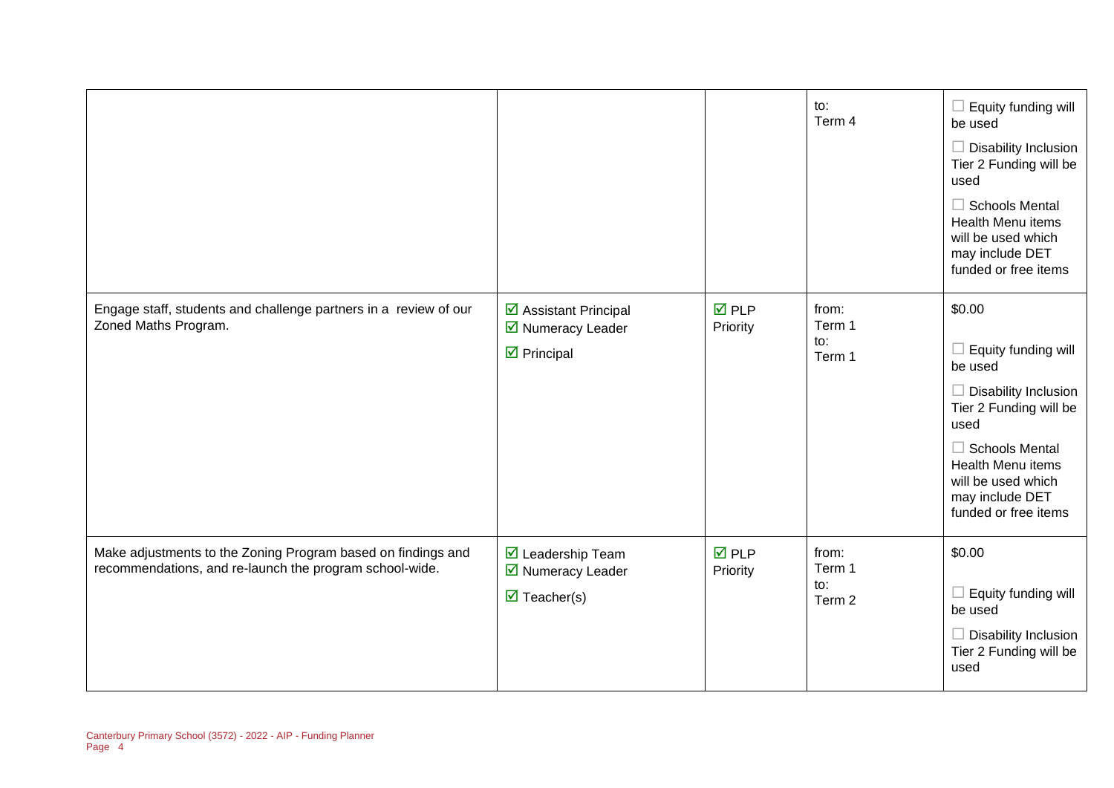|                                                                                                                         |                                                                                                    |                                | to:<br>Term 4                    | $\Box$ Equity funding will<br>be used<br>$\Box$ Disability Inclusion<br>Tier 2 Funding will be<br>used<br>$\Box$ Schools Mental<br><b>Health Menu items</b><br>will be used which<br>may include DET<br>funded or free items    |
|-------------------------------------------------------------------------------------------------------------------------|----------------------------------------------------------------------------------------------------|--------------------------------|----------------------------------|---------------------------------------------------------------------------------------------------------------------------------------------------------------------------------------------------------------------------------|
| Engage staff, students and challenge partners in a review of our<br>Zoned Maths Program.                                | ☑ Assistant Principal<br>■ Numeracy Leader<br>$\triangleright$ Principal                           | $\overline{M}$ PLP<br>Priority | from:<br>Term 1<br>to:<br>Term 1 | \$0.00<br>Equity funding will<br>be used<br>$\Box$ Disability Inclusion<br>Tier 2 Funding will be<br>used<br>$\Box$ Schools Mental<br><b>Health Menu items</b><br>will be used which<br>may include DET<br>funded or free items |
| Make adjustments to the Zoning Program based on findings and<br>recommendations, and re-launch the program school-wide. | $\overline{\mathbf{M}}$ Leadership Team<br>■ Numeracy Leader<br>$\overline{\mathbf{M}}$ Teacher(s) | <b>☑</b> PLP<br>Priority       | from:<br>Term 1<br>to:<br>Term 2 | \$0.00<br>Equity funding will<br>be used<br>$\Box$ Disability Inclusion<br>Tier 2 Funding will be<br>used                                                                                                                       |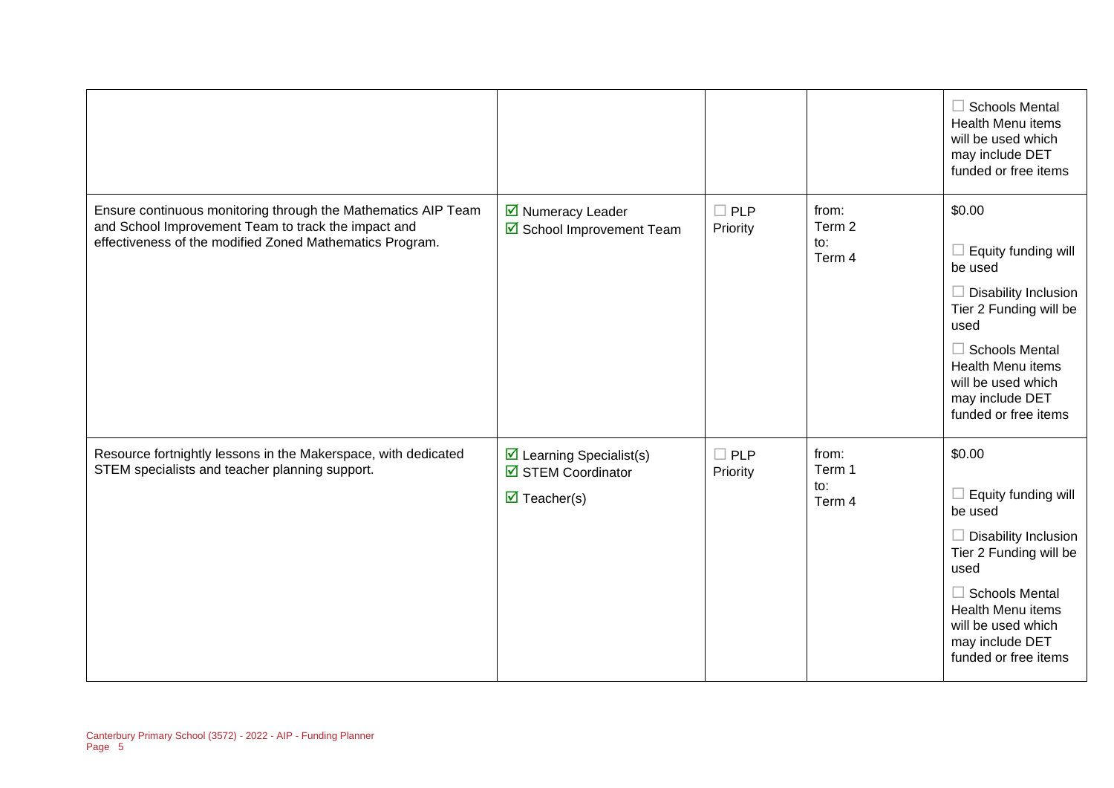|                                                                                                                                                                                  |                                                                                           |                        |                                             | $\Box$ Schools Mental<br>Health Menu items<br>will be used which<br>may include DET<br>funded or free items                                                                                                                            |
|----------------------------------------------------------------------------------------------------------------------------------------------------------------------------------|-------------------------------------------------------------------------------------------|------------------------|---------------------------------------------|----------------------------------------------------------------------------------------------------------------------------------------------------------------------------------------------------------------------------------------|
| Ensure continuous monitoring through the Mathematics AIP Team<br>and School Improvement Team to track the impact and<br>effectiveness of the modified Zoned Mathematics Program. | ☑ Numeracy Leader<br>School Improvement Team                                              | $\Box$ PLP<br>Priority | from:<br>Term 2<br>$\mathsf{to}:$<br>Term 4 | \$0.00<br>$\Box$ Equity funding will<br>be used<br>$\Box$ Disability Inclusion<br>Tier 2 Funding will be<br>used<br>$\Box$ Schools Mental<br><b>Health Menu items</b><br>will be used which<br>may include DET<br>funded or free items |
| Resource fortnightly lessons in the Makerspace, with dedicated<br>STEM specialists and teacher planning support.                                                                 | $\triangleright$ Learning Specialist(s)<br>STEM Coordinator<br>$\triangledown$ Teacher(s) | $\Box$ PLP<br>Priority | from:<br>Term 1<br>to:<br>Term 4            | \$0.00<br>$\Box$ Equity funding will<br>be used<br>$\Box$ Disability Inclusion<br>Tier 2 Funding will be<br>used<br>$\Box$ Schools Mental<br>Health Menu items<br>will be used which<br>may include DET<br>funded or free items        |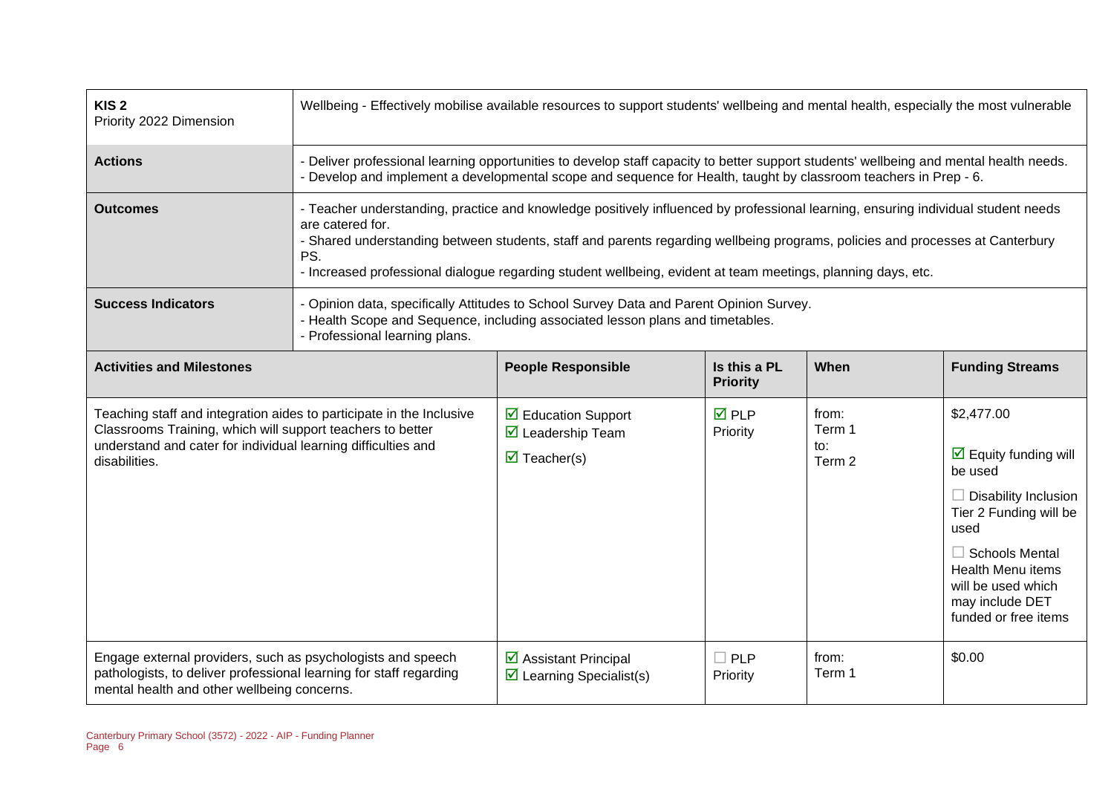| KIS <sub>2</sub><br>Priority 2022 Dimension                                                                                                                                                                          | Wellbeing - Effectively mobilise available resources to support students' wellbeing and mental health, especially the most vulnerable                                                                                                                                                                                                                                                                         |                                                                                                                                                                                                                                                        |                                 |                                  |                                                                                                                                                                                                                                                      |
|----------------------------------------------------------------------------------------------------------------------------------------------------------------------------------------------------------------------|---------------------------------------------------------------------------------------------------------------------------------------------------------------------------------------------------------------------------------------------------------------------------------------------------------------------------------------------------------------------------------------------------------------|--------------------------------------------------------------------------------------------------------------------------------------------------------------------------------------------------------------------------------------------------------|---------------------------------|----------------------------------|------------------------------------------------------------------------------------------------------------------------------------------------------------------------------------------------------------------------------------------------------|
| <b>Actions</b>                                                                                                                                                                                                       |                                                                                                                                                                                                                                                                                                                                                                                                               | Deliver professional learning opportunities to develop staff capacity to better support students' wellbeing and mental health needs.<br>Develop and implement a developmental scope and sequence for Health, taught by classroom teachers in Prep - 6. |                                 |                                  |                                                                                                                                                                                                                                                      |
| <b>Outcomes</b>                                                                                                                                                                                                      | - Teacher understanding, practice and knowledge positively influenced by professional learning, ensuring individual student needs<br>are catered for.<br>- Shared understanding between students, staff and parents regarding wellbeing programs, policies and processes at Canterbury<br>PS.<br>- Increased professional dialogue regarding student wellbeing, evident at team meetings, planning days, etc. |                                                                                                                                                                                                                                                        |                                 |                                  |                                                                                                                                                                                                                                                      |
| <b>Success Indicators</b>                                                                                                                                                                                            | Opinion data, specifically Attitudes to School Survey Data and Parent Opinion Survey.<br>- Health Scope and Sequence, including associated lesson plans and timetables.<br>- Professional learning plans.                                                                                                                                                                                                     |                                                                                                                                                                                                                                                        |                                 |                                  |                                                                                                                                                                                                                                                      |
| <b>Activities and Milestones</b>                                                                                                                                                                                     |                                                                                                                                                                                                                                                                                                                                                                                                               | <b>People Responsible</b>                                                                                                                                                                                                                              | Is this a PL<br><b>Priority</b> | When                             | <b>Funding Streams</b>                                                                                                                                                                                                                               |
| Teaching staff and integration aides to participate in the Inclusive<br>Classrooms Training, which will support teachers to better<br>understand and cater for individual learning difficulties and<br>disabilities. |                                                                                                                                                                                                                                                                                                                                                                                                               | $\triangleright$ Education Support<br>$\overline{\mathbf{M}}$ Leadership Team<br>$\triangledown$ Teacher(s)                                                                                                                                            | $\overline{M}$ PLP<br>Priority  | from:<br>Term 1<br>to:<br>Term 2 | \$2,477.00<br>$\triangleright$ Equity funding will<br>be used<br>$\Box$ Disability Inclusion<br>Tier 2 Funding will be<br>used<br>$\Box$ Schools Mental<br><b>Health Menu items</b><br>will be used which<br>may include DET<br>funded or free items |
| Engage external providers, such as psychologists and speech<br>pathologists, to deliver professional learning for staff regarding<br>mental health and other wellbeing concerns.                                     |                                                                                                                                                                                                                                                                                                                                                                                                               | $\triangleright$ Assistant Principal<br>$\triangleright$ Learning Specialist(s)                                                                                                                                                                        | $\Box$ PLP<br>Priority          | from:<br>Term 1                  | \$0.00                                                                                                                                                                                                                                               |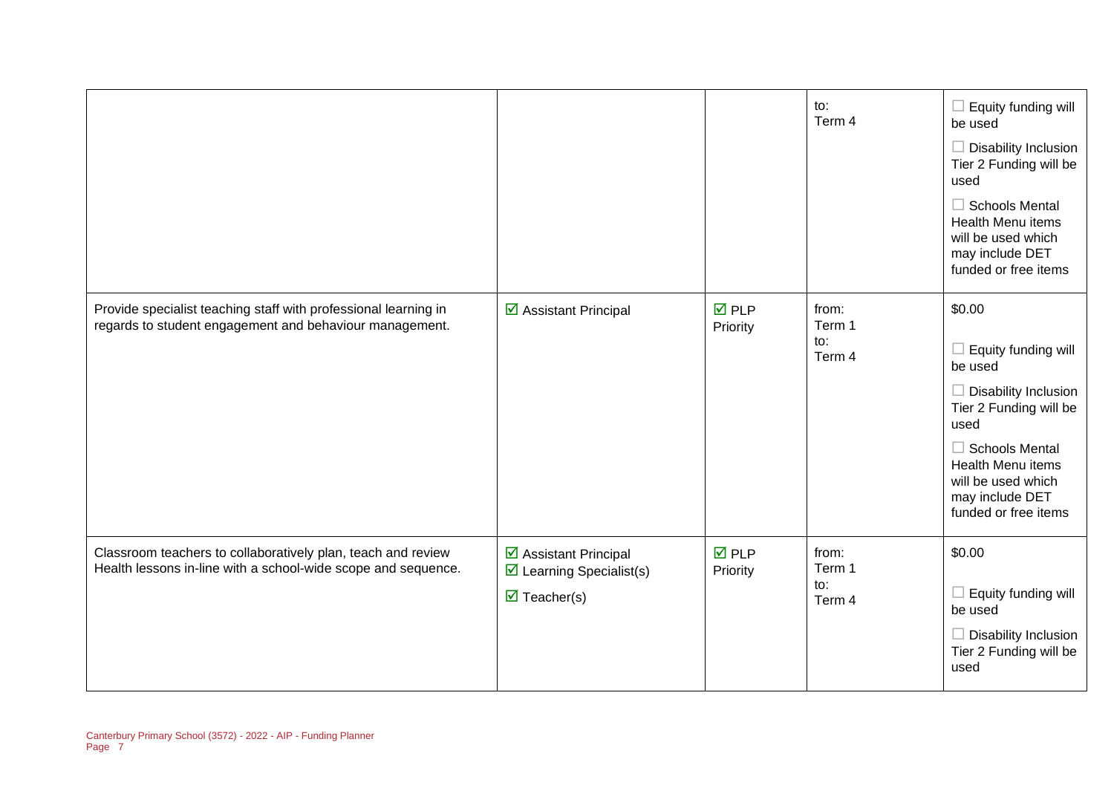|                                                                                                                               |                                                                                                        |                                | to:<br>Term 4                    | Equity funding will<br>be used<br>$\Box$ Disability Inclusion<br>Tier 2 Funding will be<br>used<br><b>Schools Mental</b><br><b>Health Menu items</b><br>will be used which<br>may include DET<br>funded or free items |
|-------------------------------------------------------------------------------------------------------------------------------|--------------------------------------------------------------------------------------------------------|--------------------------------|----------------------------------|-----------------------------------------------------------------------------------------------------------------------------------------------------------------------------------------------------------------------|
| Provide specialist teaching staff with professional learning in<br>regards to student engagement and behaviour management.    | ☑ Assistant Principal                                                                                  | $\overline{M}$ PLP<br>Priority | from:<br>Term 1<br>to:<br>Term 4 | \$0.00<br>Equity funding will<br>be used<br>Disability Inclusion<br>Tier 2 Funding will be<br>used<br>$\Box$ Schools Mental<br>Health Menu items<br>will be used which<br>may include DET<br>funded or free items     |
| Classroom teachers to collaboratively plan, teach and review<br>Health lessons in-line with a school-wide scope and sequence. | ☑ Assistant Principal<br>$\triangleright$ Learning Specialist(s)<br>$\overline{\mathbf{M}}$ Teacher(s) | $\overline{M}$ PLP<br>Priority | from:<br>Term 1<br>to:<br>Term 4 | \$0.00<br>Equity funding will<br>be used<br><b>Disability Inclusion</b><br>Tier 2 Funding will be<br>used                                                                                                             |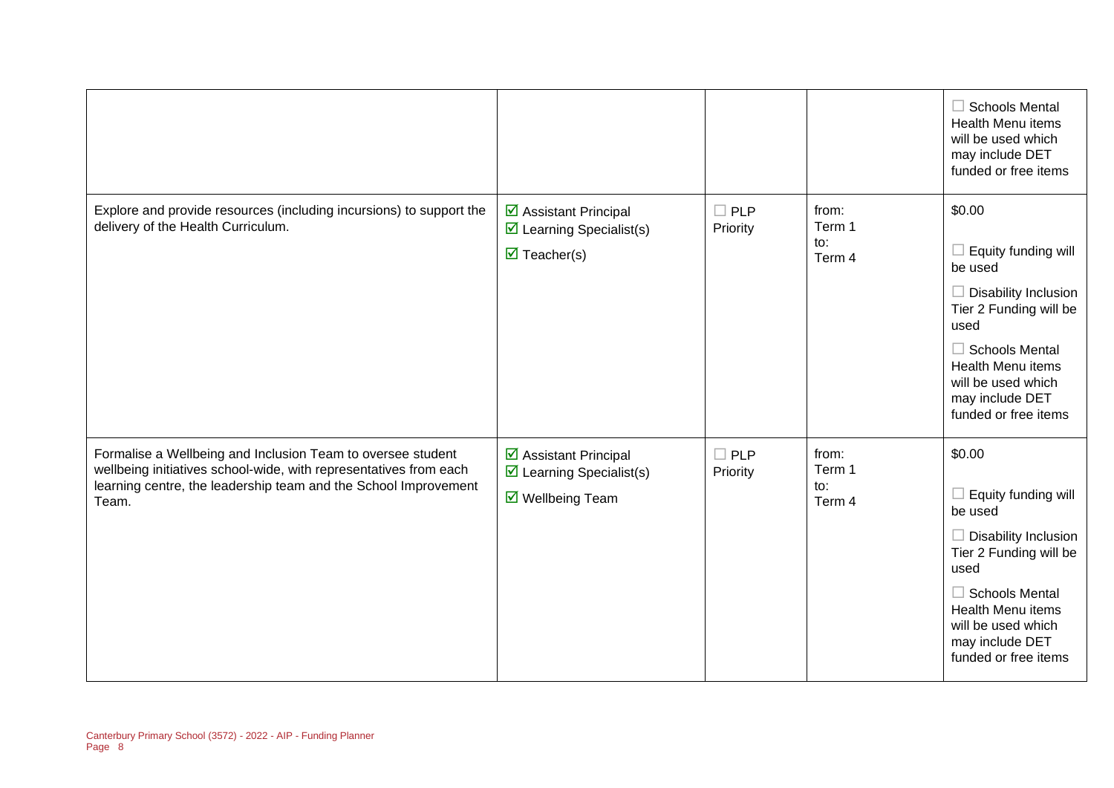|                                                                                                                                                                                                              |                                                                                                    |                           |                                  | $\Box$ Schools Mental<br><b>Health Menu items</b><br>will be used which<br>may include DET<br>funded or free items                                                                                                                     |
|--------------------------------------------------------------------------------------------------------------------------------------------------------------------------------------------------------------|----------------------------------------------------------------------------------------------------|---------------------------|----------------------------------|----------------------------------------------------------------------------------------------------------------------------------------------------------------------------------------------------------------------------------------|
| Explore and provide resources (including incursions) to support the<br>delivery of the Health Curriculum.                                                                                                    | ☑ Assistant Principal<br>$\boxtimes$ Learning Specialist(s)<br>$\triangledown$ Teacher(s)          | $\square$ PLP<br>Priority | from:<br>Term 1<br>to:<br>Term 4 | \$0.00<br>$\Box$ Equity funding will<br>be used<br>$\Box$ Disability Inclusion<br>Tier 2 Funding will be<br>used<br>$\Box$ Schools Mental<br><b>Health Menu items</b><br>will be used which<br>may include DET<br>funded or free items |
| Formalise a Wellbeing and Inclusion Team to oversee student<br>wellbeing initiatives school-wide, with representatives from each<br>learning centre, the leadership team and the School Improvement<br>Team. | ☑ Assistant Principal<br>$\triangleright$ Learning Specialist(s)<br>$\triangledown$ Wellbeing Team | $\Box$ PLP<br>Priority    | from:<br>Term 1<br>to:<br>Term 4 | \$0.00<br>$\Box$ Equity funding will<br>be used<br>$\Box$ Disability Inclusion<br>Tier 2 Funding will be<br>used<br>$\Box$ Schools Mental<br>Health Menu items<br>will be used which<br>may include DET<br>funded or free items        |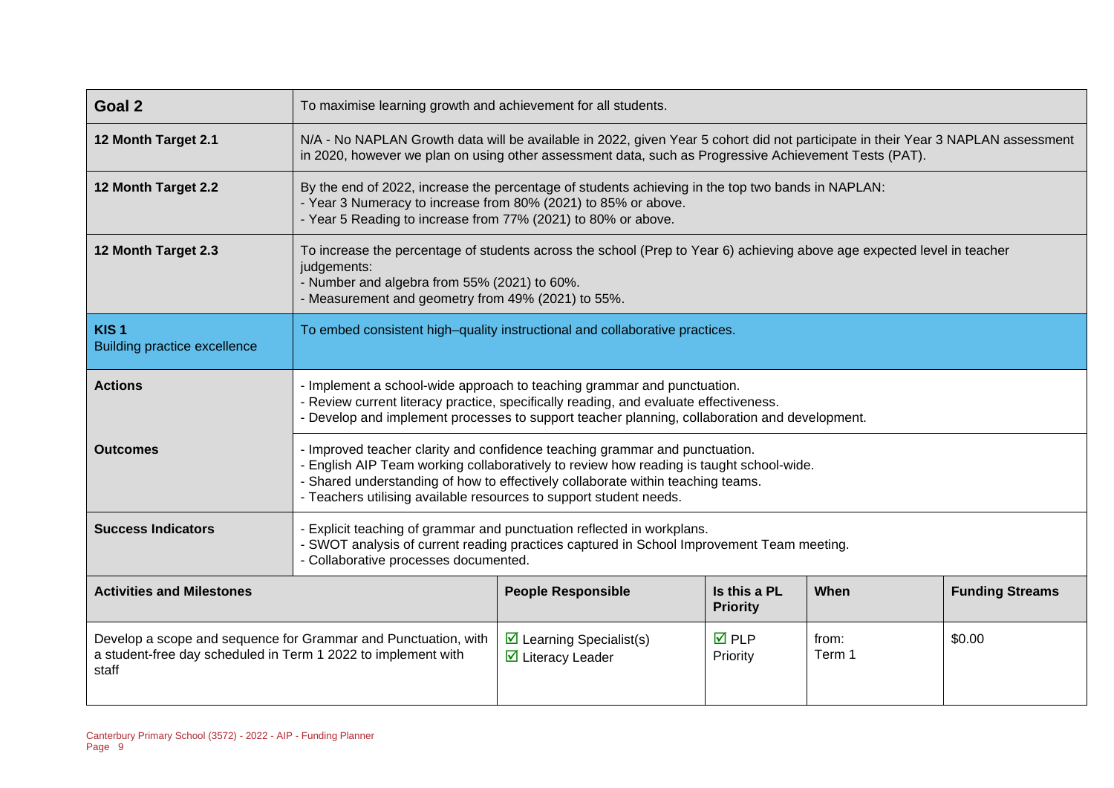| Goal 2                                                                 | To maximise learning growth and achievement for all students.                                                                                                                                                                                                                                                                   |                                                                                                                                                                                                                                           |  |  |  |
|------------------------------------------------------------------------|---------------------------------------------------------------------------------------------------------------------------------------------------------------------------------------------------------------------------------------------------------------------------------------------------------------------------------|-------------------------------------------------------------------------------------------------------------------------------------------------------------------------------------------------------------------------------------------|--|--|--|
| 12 Month Target 2.1                                                    |                                                                                                                                                                                                                                                                                                                                 | N/A - No NAPLAN Growth data will be available in 2022, given Year 5 cohort did not participate in their Year 3 NAPLAN assessment<br>in 2020, however we plan on using other assessment data, such as Progressive Achievement Tests (PAT). |  |  |  |
| 12 Month Target 2.2                                                    | - Year 3 Numeracy to increase from 80% (2021) to 85% or above.<br>- Year 5 Reading to increase from 77% (2021) to 80% or above.                                                                                                                                                                                                 | By the end of 2022, increase the percentage of students achieving in the top two bands in NAPLAN:                                                                                                                                         |  |  |  |
| 12 Month Target 2.3                                                    | To increase the percentage of students across the school (Prep to Year 6) achieving above age expected level in teacher<br>judgements:<br>- Number and algebra from 55% (2021) to 60%.<br>- Measurement and geometry from 49% (2021) to 55%.                                                                                    |                                                                                                                                                                                                                                           |  |  |  |
| KIS <sub>1</sub><br><b>Building practice excellence</b>                | To embed consistent high-quality instructional and collaborative practices.                                                                                                                                                                                                                                                     |                                                                                                                                                                                                                                           |  |  |  |
| <b>Actions</b>                                                         | - Implement a school-wide approach to teaching grammar and punctuation.<br>- Review current literacy practice, specifically reading, and evaluate effectiveness.<br>- Develop and implement processes to support teacher planning, collaboration and development.                                                               |                                                                                                                                                                                                                                           |  |  |  |
| <b>Outcomes</b>                                                        | - Improved teacher clarity and confidence teaching grammar and punctuation.<br>- English AIP Team working collaboratively to review how reading is taught school-wide.<br>- Shared understanding of how to effectively collaborate within teaching teams.<br>- Teachers utilising available resources to support student needs. |                                                                                                                                                                                                                                           |  |  |  |
| <b>Success Indicators</b>                                              | - Explicit teaching of grammar and punctuation reflected in workplans.<br>- SWOT analysis of current reading practices captured in School Improvement Team meeting.<br>- Collaborative processes documented.                                                                                                                    |                                                                                                                                                                                                                                           |  |  |  |
| <b>Activities and Milestones</b>                                       | Is this a PL<br><b>People Responsible</b><br>When<br><b>Funding Streams</b><br><b>Priority</b>                                                                                                                                                                                                                                  |                                                                                                                                                                                                                                           |  |  |  |
| a student-free day scheduled in Term 1 2022 to implement with<br>staff | $\overline{M}$ PLP<br>\$0.00<br>Develop a scope and sequence for Grammar and Punctuation, with<br>$\triangleright$ Learning Specialist(s)<br>from:<br>Term 1<br>$\overline{\mathbf{y}}$ Literacy Leader<br>Priority                                                                                                             |                                                                                                                                                                                                                                           |  |  |  |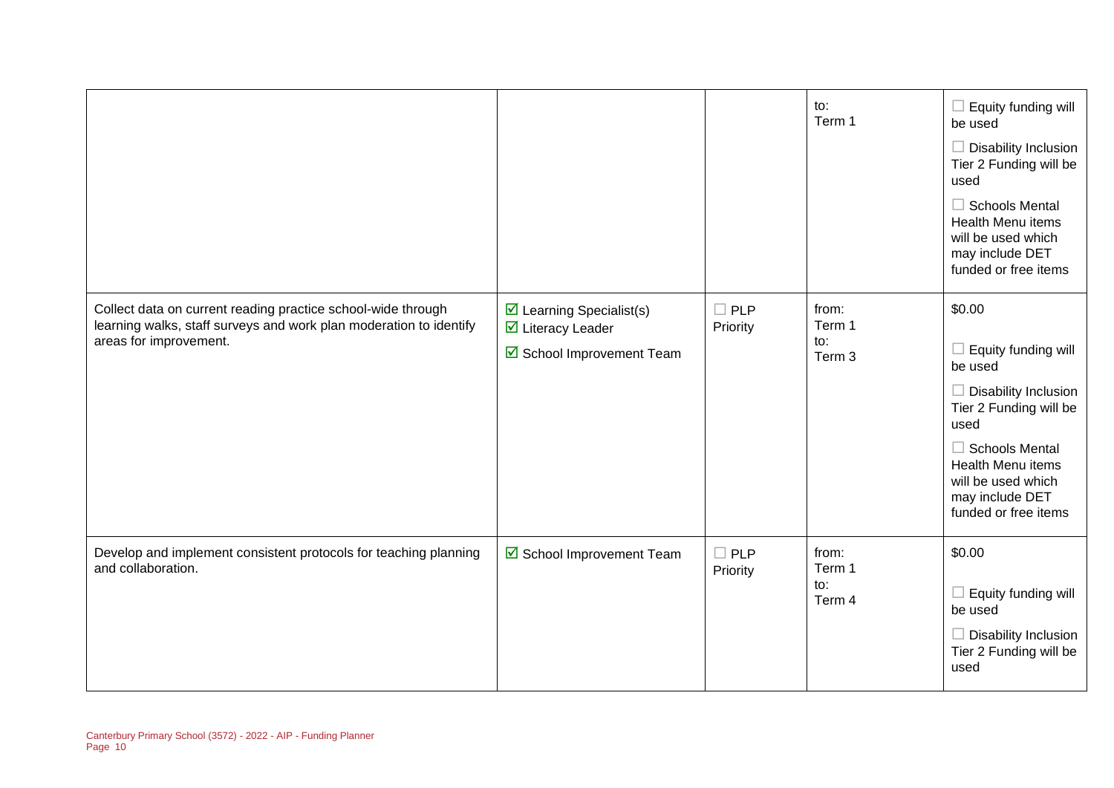|                                                                                                                                                              |                                                                                    |                        | to:<br>Term 1                    | Equity funding will<br>be used<br>Disability Inclusion<br>Tier 2 Funding will be<br>used<br><b>Schools Mental</b><br>Health Menu items<br>will be used which<br>may include DET<br>funded or free items           |
|--------------------------------------------------------------------------------------------------------------------------------------------------------------|------------------------------------------------------------------------------------|------------------------|----------------------------------|-------------------------------------------------------------------------------------------------------------------------------------------------------------------------------------------------------------------|
| Collect data on current reading practice school-wide through<br>learning walks, staff surveys and work plan moderation to identify<br>areas for improvement. | $\boxtimes$ Learning Specialist(s)<br>☑ Literacy Leader<br>School Improvement Team | $\Box$ PLP<br>Priority | from:<br>Term 1<br>to:<br>Term 3 | \$0.00<br>Equity funding will<br>be used<br>Disability Inclusion<br>Tier 2 Funding will be<br>used<br><b>Schools Mental</b><br>Health Menu items<br>will be used which<br>may include DET<br>funded or free items |
| Develop and implement consistent protocols for teaching planning<br>and collaboration.                                                                       | School Improvement Team                                                            | $\Box$ PLP<br>Priority | from:<br>Term 1<br>to:<br>Term 4 | \$0.00<br>Equity funding will<br>ш<br>be used<br>$\Box$ Disability Inclusion<br>Tier 2 Funding will be<br>used                                                                                                    |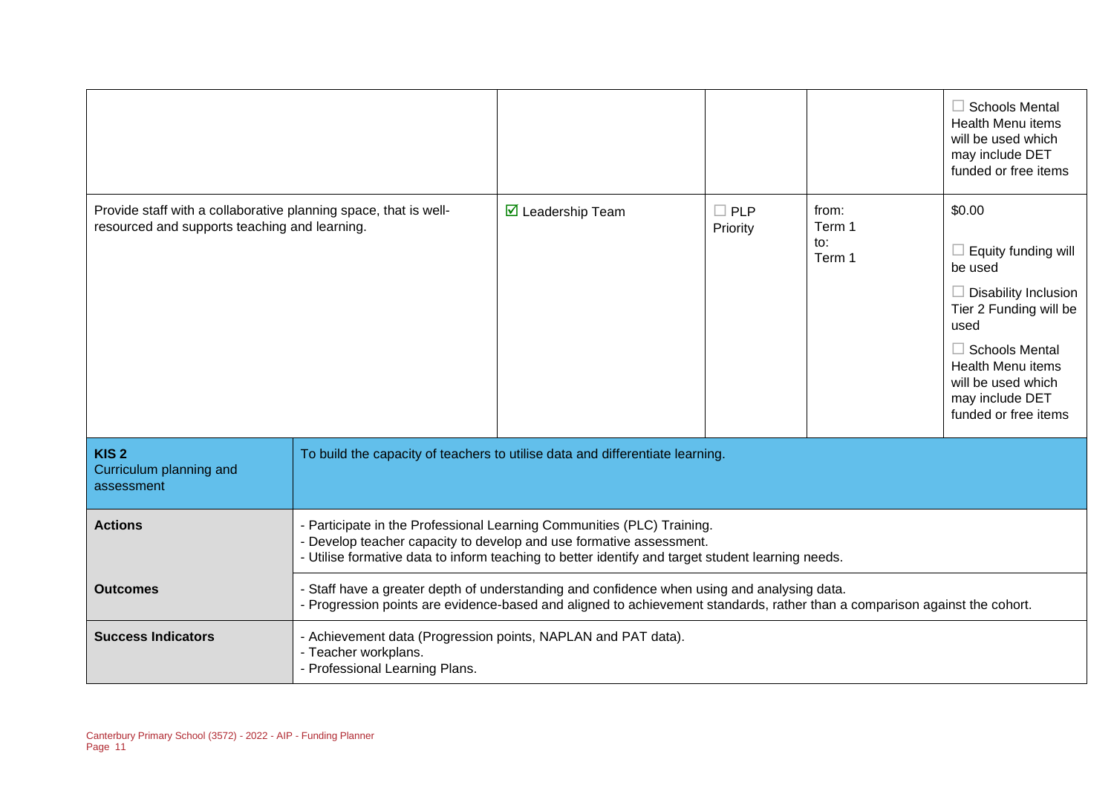|                                                                                                                   |                                                                                                                                                                                                                                                    |                                                                               |                        |                                  | $\Box$ Schools Mental<br><b>Health Menu items</b><br>will be used which<br>may include DET<br>funded or free items                                                                                                              |
|-------------------------------------------------------------------------------------------------------------------|----------------------------------------------------------------------------------------------------------------------------------------------------------------------------------------------------------------------------------------------------|-------------------------------------------------------------------------------|------------------------|----------------------------------|---------------------------------------------------------------------------------------------------------------------------------------------------------------------------------------------------------------------------------|
| Provide staff with a collaborative planning space, that is well-<br>resourced and supports teaching and learning. |                                                                                                                                                                                                                                                    | $\triangleright$ Leadership Team                                              | $\Box$ PLP<br>Priority | from:<br>Term 1<br>to:<br>Term 1 | \$0.00<br>Equity funding will<br>be used<br>$\Box$ Disability Inclusion<br>Tier 2 Funding will be<br>used<br>$\Box$ Schools Mental<br><b>Health Menu items</b><br>will be used which<br>may include DET<br>funded or free items |
| KIS <sub>2</sub><br>Curriculum planning and<br>assessment                                                         |                                                                                                                                                                                                                                                    | To build the capacity of teachers to utilise data and differentiate learning. |                        |                                  |                                                                                                                                                                                                                                 |
| <b>Actions</b>                                                                                                    | - Participate in the Professional Learning Communities (PLC) Training.<br>- Develop teacher capacity to develop and use formative assessment.<br>- Utilise formative data to inform teaching to better identify and target student learning needs. |                                                                               |                        |                                  |                                                                                                                                                                                                                                 |
| <b>Outcomes</b>                                                                                                   | - Staff have a greater depth of understanding and confidence when using and analysing data.<br>- Progression points are evidence-based and aligned to achievement standards, rather than a comparison against the cohort.                          |                                                                               |                        |                                  |                                                                                                                                                                                                                                 |
| <b>Success Indicators</b>                                                                                         | - Achievement data (Progression points, NAPLAN and PAT data).<br>- Teacher workplans.<br>- Professional Learning Plans.                                                                                                                            |                                                                               |                        |                                  |                                                                                                                                                                                                                                 |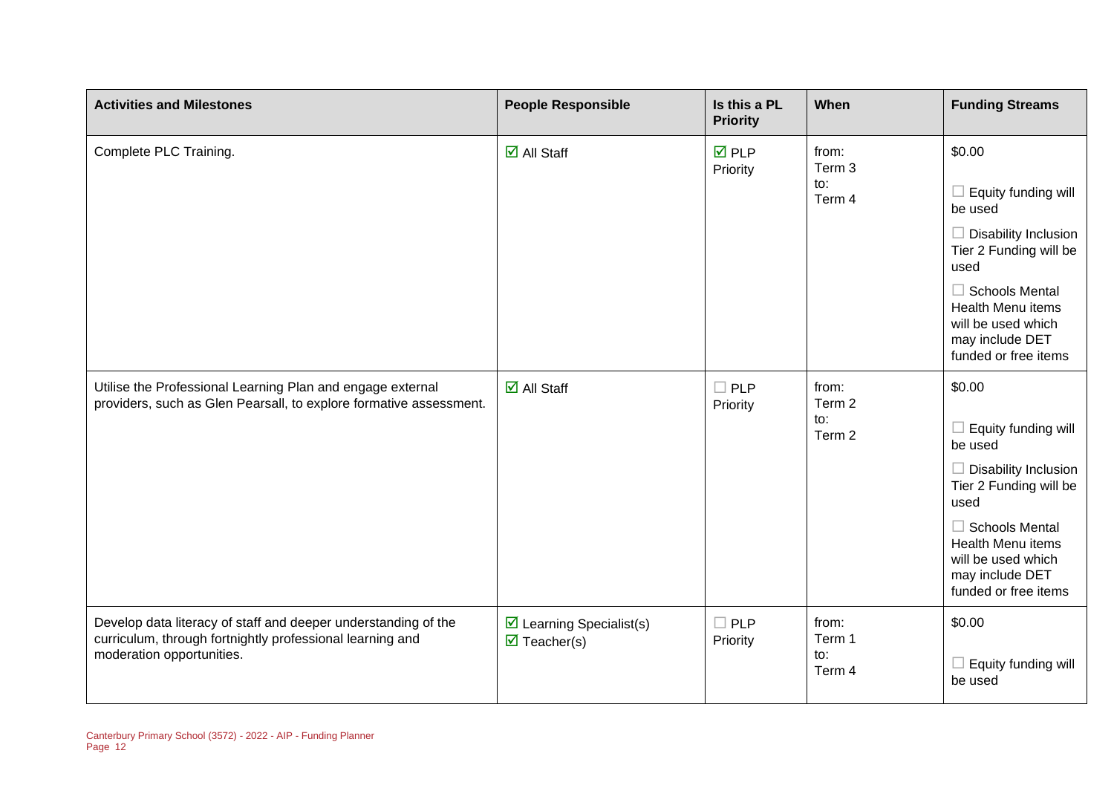| <b>Activities and Milestones</b>                                                                                                                         | <b>People Responsible</b>                                                     | Is this a PL<br><b>Priority</b> | When                             | <b>Funding Streams</b>                                                                                                                                                                                                   |
|----------------------------------------------------------------------------------------------------------------------------------------------------------|-------------------------------------------------------------------------------|---------------------------------|----------------------------------|--------------------------------------------------------------------------------------------------------------------------------------------------------------------------------------------------------------------------|
| Complete PLC Training.                                                                                                                                   | $\overline{\mathsf{M}}$ All Staff                                             | $\overline{M}$ PLP<br>Priority  | from:<br>Term 3<br>to:<br>Term 4 | \$0.00<br>Equity funding will<br>be used<br>Disability Inclusion<br>Tier 2 Funding will be<br>used<br>$\Box$ Schools Mental<br><b>Health Menu items</b><br>will be used which<br>may include DET<br>funded or free items |
| Utilise the Professional Learning Plan and engage external<br>providers, such as Glen Pearsall, to explore formative assessment.                         | $\overline{\mathsf{M}}$ All Staff                                             | <b>PLP</b><br>Priority          | from:<br>Term 2<br>to:<br>Term 2 | \$0.00<br>Equity funding will<br>be used<br>$\Box$ Disability Inclusion<br>Tier 2 Funding will be<br>used<br>$\Box$ Schools Mental<br>Health Menu items<br>will be used which<br>may include DET<br>funded or free items |
| Develop data literacy of staff and deeper understanding of the<br>curriculum, through fortnightly professional learning and<br>moderation opportunities. | $\triangleright$ Learning Specialist(s)<br>$\overline{\mathbf{M}}$ Teacher(s) | $\square$ PLP<br>Priority       | from:<br>Term 1<br>to:<br>Term 4 | \$0.00<br>Equity funding will<br>be used                                                                                                                                                                                 |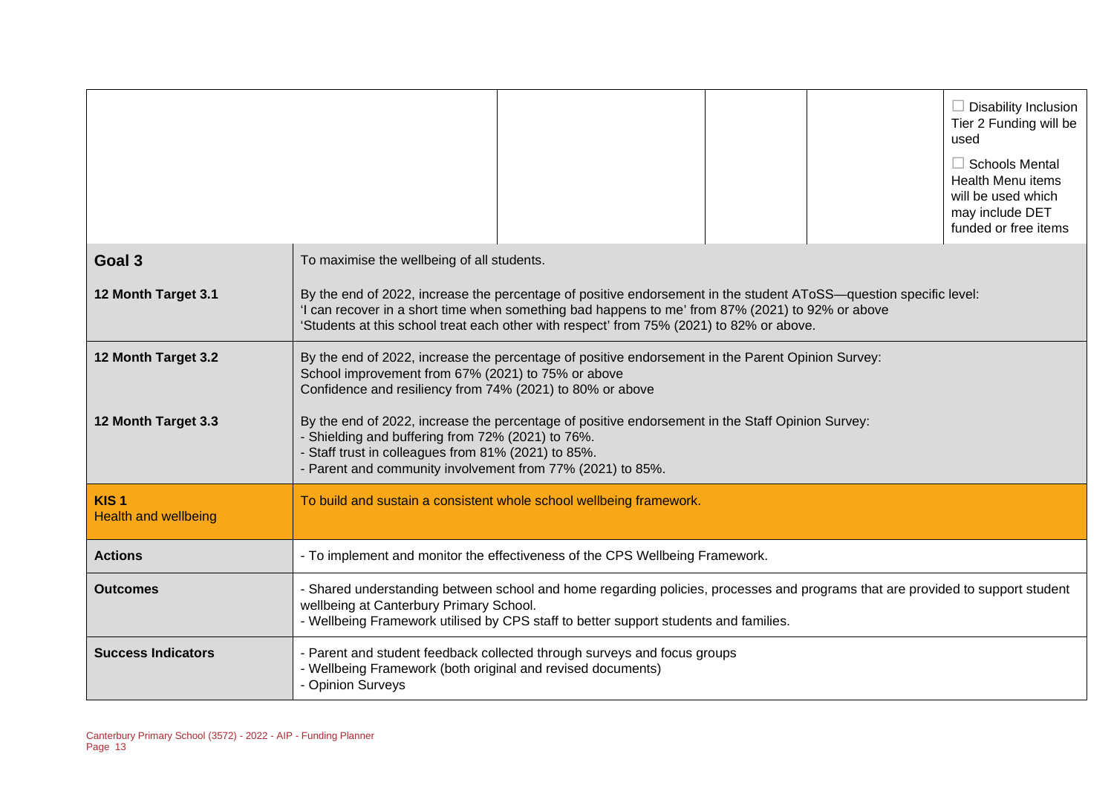|                                                 |                                                                                                                                                                                                                                                                                                                   |  |  |  | $\Box$ Disability Inclusion<br>Tier 2 Funding will be<br>used<br>$\Box$ Schools Mental<br><b>Health Menu items</b><br>will be used which<br>may include DET<br>funded or free items |
|-------------------------------------------------|-------------------------------------------------------------------------------------------------------------------------------------------------------------------------------------------------------------------------------------------------------------------------------------------------------------------|--|--|--|-------------------------------------------------------------------------------------------------------------------------------------------------------------------------------------|
| Goal 3                                          | To maximise the wellbeing of all students.                                                                                                                                                                                                                                                                        |  |  |  |                                                                                                                                                                                     |
| 12 Month Target 3.1                             | By the end of 2022, increase the percentage of positive endorsement in the student AToSS—question specific level:<br>'I can recover in a short time when something bad happens to me' from 87% (2021) to 92% or above<br>'Students at this school treat each other with respect' from 75% (2021) to 82% or above. |  |  |  |                                                                                                                                                                                     |
| 12 Month Target 3.2                             | By the end of 2022, increase the percentage of positive endorsement in the Parent Opinion Survey:<br>School improvement from 67% (2021) to 75% or above<br>Confidence and resiliency from 74% (2021) to 80% or above                                                                                              |  |  |  |                                                                                                                                                                                     |
| 12 Month Target 3.3                             | By the end of 2022, increase the percentage of positive endorsement in the Staff Opinion Survey:<br>- Shielding and buffering from 72% (2021) to 76%.<br>- Staff trust in colleagues from 81% (2021) to 85%.<br>- Parent and community involvement from 77% (2021) to 85%.                                        |  |  |  |                                                                                                                                                                                     |
| KIS <sub>1</sub><br><b>Health and wellbeing</b> | To build and sustain a consistent whole school wellbeing framework.                                                                                                                                                                                                                                               |  |  |  |                                                                                                                                                                                     |
| <b>Actions</b>                                  | - To implement and monitor the effectiveness of the CPS Wellbeing Framework.                                                                                                                                                                                                                                      |  |  |  |                                                                                                                                                                                     |
| <b>Outcomes</b>                                 | - Shared understanding between school and home regarding policies, processes and programs that are provided to support student<br>wellbeing at Canterbury Primary School.<br>- Wellbeing Framework utilised by CPS staff to better support students and families.                                                 |  |  |  |                                                                                                                                                                                     |
| <b>Success Indicators</b>                       | - Parent and student feedback collected through surveys and focus groups<br>- Wellbeing Framework (both original and revised documents)<br>- Opinion Surveys                                                                                                                                                      |  |  |  |                                                                                                                                                                                     |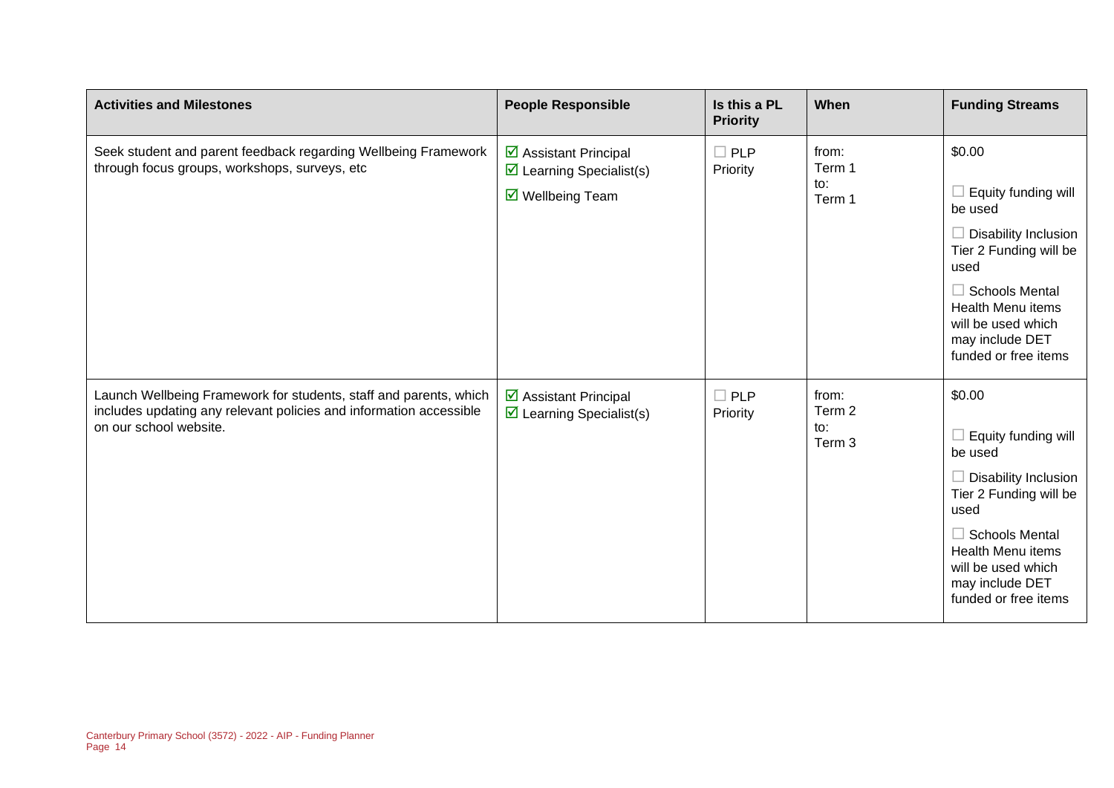| <b>Activities and Milestones</b>                                                                                                                                  | <b>People Responsible</b>                                                                             | Is this a PL<br><b>Priority</b> | When                                        | <b>Funding Streams</b>                                                                                                                                                                                                          |
|-------------------------------------------------------------------------------------------------------------------------------------------------------------------|-------------------------------------------------------------------------------------------------------|---------------------------------|---------------------------------------------|---------------------------------------------------------------------------------------------------------------------------------------------------------------------------------------------------------------------------------|
| Seek student and parent feedback regarding Wellbeing Framework<br>through focus groups, workshops, surveys, etc                                                   | ☑ Assistant Principal<br>$\boxtimes$ Learning Specialist(s)<br>$\overline{\mathbf{M}}$ Wellbeing Team | $\Box$ PLP<br>Priority          | from:<br>Term 1<br>to:<br>Term 1            | \$0.00<br>Equity funding will<br>be used<br>$\Box$ Disability Inclusion<br>Tier 2 Funding will be<br>used<br>$\Box$ Schools Mental<br><b>Health Menu items</b><br>will be used which<br>may include DET<br>funded or free items |
| Launch Wellbeing Framework for students, staff and parents, which<br>includes updating any relevant policies and information accessible<br>on our school website. | ☑ Assistant Principal<br>$\triangleright$ Learning Specialist(s)                                      | $\Box$ PLP<br>Priority          | from:<br>Term 2<br>to:<br>Term <sub>3</sub> | \$0.00<br>$\Box$ Equity funding will<br>be used<br>Disability Inclusion<br>Tier 2 Funding will be<br>used<br>$\Box$ Schools Mental<br><b>Health Menu items</b><br>will be used which<br>may include DET<br>funded or free items |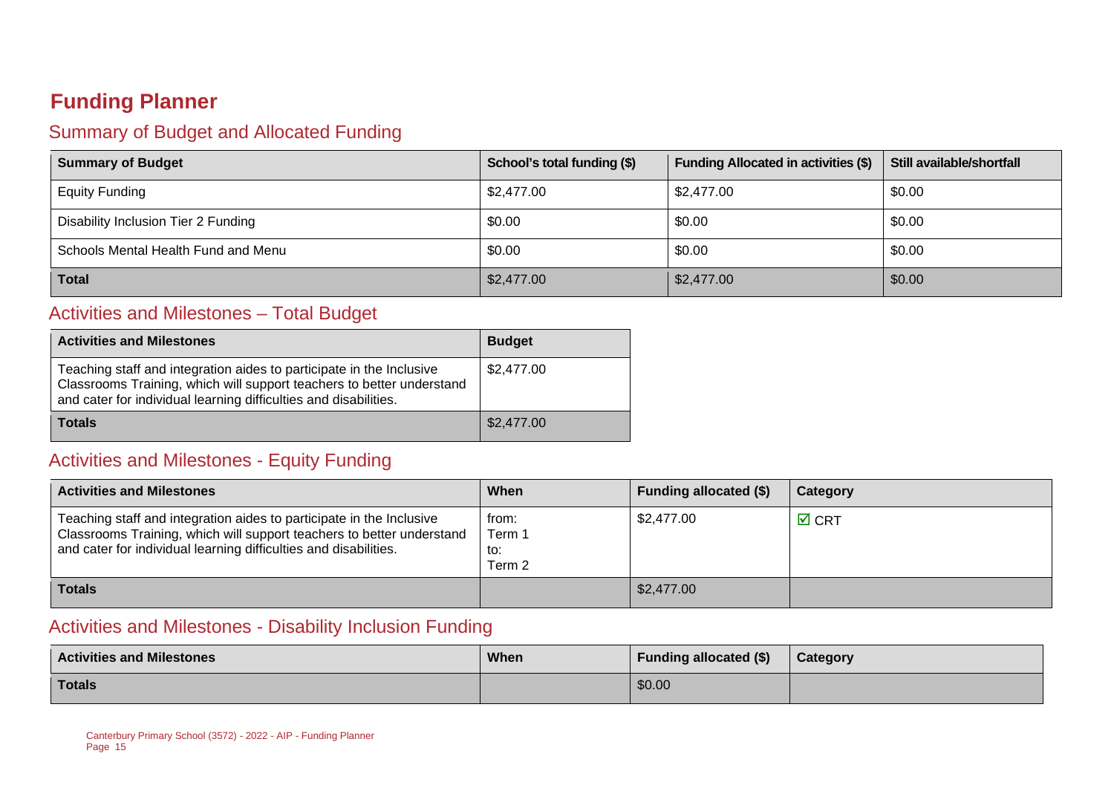## **Funding Planner**

## Summary of Budget and Allocated Funding

| <b>Summary of Budget</b>            | School's total funding (\$) | <b>Funding Allocated in activities (\$)</b> | Still available/shortfall |
|-------------------------------------|-----------------------------|---------------------------------------------|---------------------------|
| <b>Equity Funding</b>               | \$2,477.00                  | \$2,477.00                                  | \$0.00                    |
| Disability Inclusion Tier 2 Funding | \$0.00                      | \$0.00                                      | \$0.00                    |
| Schools Mental Health Fund and Menu | \$0.00                      | \$0.00                                      | \$0.00                    |
| <b>Total</b>                        | \$2,477.00                  | \$2,477.00                                  | \$0.00                    |

## Activities and Milestones – Total Budget

| <b>Activities and Milestones</b>                                                                                                                                                                                  | <b>Budget</b> |
|-------------------------------------------------------------------------------------------------------------------------------------------------------------------------------------------------------------------|---------------|
| Teaching staff and integration aides to participate in the Inclusive<br>Classrooms Training, which will support teachers to better understand<br>and cater for individual learning difficulties and disabilities. | \$2,477.00    |
| Totals                                                                                                                                                                                                            | \$2,477.00    |

## Activities and Milestones - Equity Funding

| <b>Activities and Milestones</b>                                                                                                                                                                                  | When                             | <b>Funding allocated (\$)</b> | Category        |
|-------------------------------------------------------------------------------------------------------------------------------------------------------------------------------------------------------------------|----------------------------------|-------------------------------|-----------------|
| Teaching staff and integration aides to participate in the Inclusive<br>Classrooms Training, which will support teachers to better understand<br>and cater for individual learning difficulties and disabilities. | from:<br>Term 1<br>to:<br>Term 2 | \$2,477.00                    | $\boxtimes$ CRT |
| <b>Totals</b>                                                                                                                                                                                                     |                                  | \$2,477.00                    |                 |

### Activities and Milestones - Disability Inclusion Funding

| <b>Activities and Milestones</b> | When | <b>Funding allocated (\$)</b> | Category |
|----------------------------------|------|-------------------------------|----------|
| Totals                           |      | \$0.00                        |          |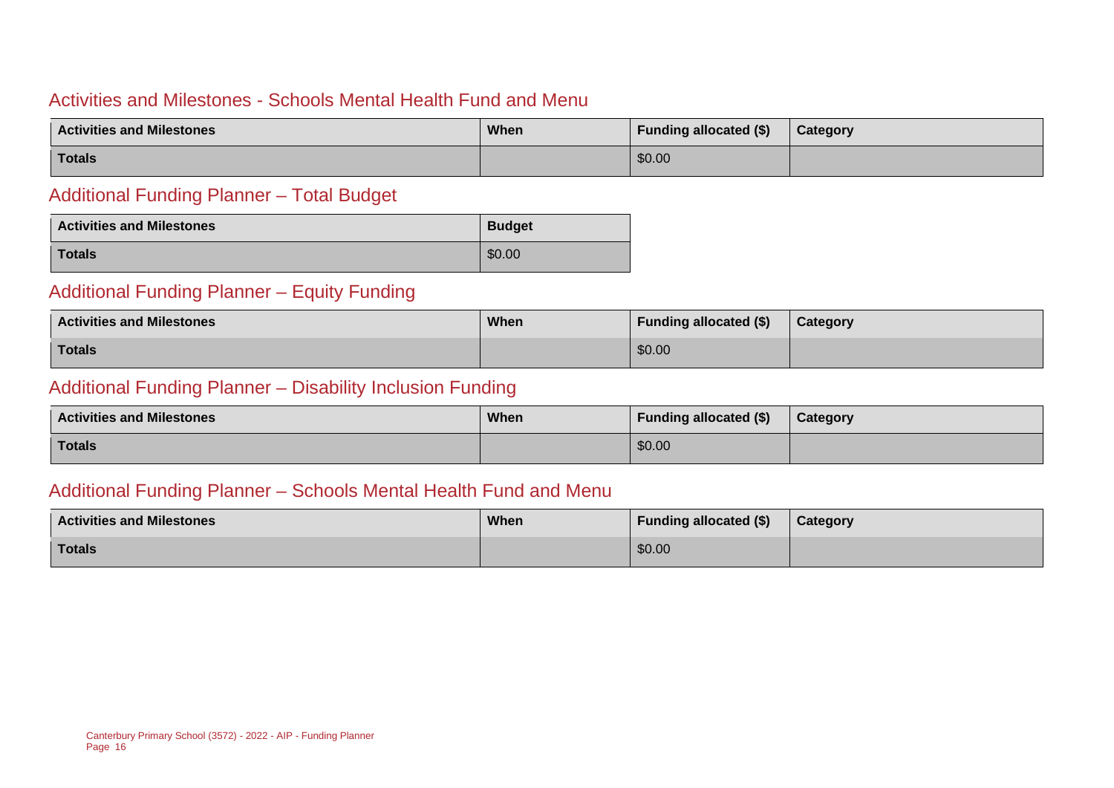#### Activities and Milestones - Schools Mental Health Fund and Menu

| <b>Activities and Milestones</b> | When | <b>Funding allocated (\$)</b> | Category |
|----------------------------------|------|-------------------------------|----------|
| Totals                           |      | \$0.00                        |          |

#### Additional Funding Planner – Total Budget

| <b>Activities and Milestones</b> | <b>Budget</b> |
|----------------------------------|---------------|
| <b>Totals</b>                    | \$0.00        |

#### Additional Funding Planner – Equity Funding

| <b>Activities and Milestones</b> | When | <b>Funding allocated (\$)</b> | Category |  |
|----------------------------------|------|-------------------------------|----------|--|
| <b>Totals</b>                    |      | \$0.00                        |          |  |

#### Additional Funding Planner – Disability Inclusion Funding

| <b>Activities and Milestones</b> | <b>When</b> | <b>Funding allocated (\$)</b> | Category |
|----------------------------------|-------------|-------------------------------|----------|
| <b>Totals</b>                    |             | \$0.00                        |          |

#### Additional Funding Planner – Schools Mental Health Fund and Menu

| <b>Activities and Milestones</b> | <b>When</b> | <b>Funding allocated (\$)</b> | Category |
|----------------------------------|-------------|-------------------------------|----------|
| Totals                           |             | \$0.00                        |          |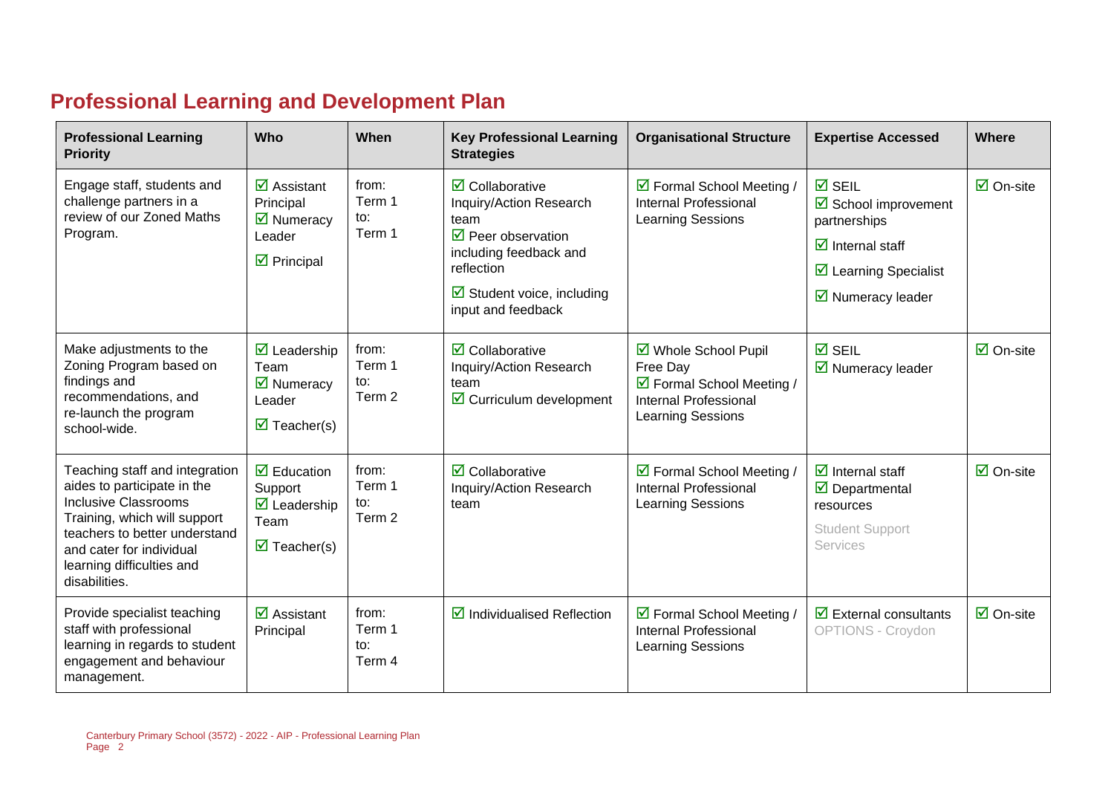# **Professional Learning and Development Plan**

| <b>Professional Learning</b><br><b>Priority</b>                                                                                                                                                                                         | Who                                                                                                                        | When                             | <b>Key Professional Learning</b><br><b>Strategies</b>                                                                                                                                                              | <b>Organisational Structure</b>                                                                             | <b>Expertise Accessed</b>                                                                                                                                                         | Where                           |
|-----------------------------------------------------------------------------------------------------------------------------------------------------------------------------------------------------------------------------------------|----------------------------------------------------------------------------------------------------------------------------|----------------------------------|--------------------------------------------------------------------------------------------------------------------------------------------------------------------------------------------------------------------|-------------------------------------------------------------------------------------------------------------|-----------------------------------------------------------------------------------------------------------------------------------------------------------------------------------|---------------------------------|
| Engage staff, students and<br>challenge partners in a<br>review of our Zoned Maths<br>Program.                                                                                                                                          | $\overline{\mathbf{z}}$ Assistant<br>Principal<br>$\overline{\mathbf{M}}$ Numeracy<br>Leader<br>$\triangleright$ Principal | from:<br>Term 1<br>to:<br>Term 1 | $\overline{\mathbf{z}}$ Collaborative<br>Inquiry/Action Research<br>team<br>$\triangledown$ Peer observation<br>including feedback and<br>reflection<br>$\boxtimes$ Student voice, including<br>input and feedback | ☑ Formal School Meeting /<br>Internal Professional<br><b>Learning Sessions</b>                              | $\overline{M}$ SEIL<br>☑ School improvement<br>partnerships<br>$\overline{\mathbf{M}}$ Internal staff<br>$\triangleright$ Learning Specialist<br>$\triangleright$ Numeracy leader | $\overline{\mathsf{M}}$ On-site |
| Make adjustments to the<br>Zoning Program based on<br>findings and<br>recommendations, and<br>re-launch the program<br>school-wide.                                                                                                     | $\overline{\mathbf{M}}$ Leadership<br>Team<br>☑ Numeracy<br>Leader<br>$\overline{\mathbf{z}}$ Teacher(s)                   | from:<br>Term 1<br>to:<br>Term 2 | $\overline{\mathbf{2}}$ Collaborative<br>Inquiry/Action Research<br>team<br>$\triangleright$ Curriculum development                                                                                                | ☑ Whole School Pupil<br>Free Day<br>☑ Formal School Meeting /<br>Internal Professional<br>Learning Sessions | $\overline{M}$ SEIL<br>$\triangleright$ Numeracy leader                                                                                                                           | $\overline{\mathbf{M}}$ On-site |
| Teaching staff and integration<br>aides to participate in the<br><b>Inclusive Classrooms</b><br>Training, which will support<br>teachers to better understand<br>and cater for individual<br>learning difficulties and<br>disabilities. | $\boxdot$ Education<br>Support<br>$\overline{\mathbf{M}}$ Leadership<br>Team<br>$\overline{\mathbf{M}}$ Teacher(s)         | from:<br>Term 1<br>to:<br>Term 2 | $\overline{\mathbf{2}}$ Collaborative<br>Inquiry/Action Research<br>team                                                                                                                                           | ☑ Formal School Meeting /<br><b>Internal Professional</b><br>Learning Sessions                              | $\overline{\mathbf{M}}$ Internal staff<br>$\overline{\mathbf{y}}$ Departmental<br>resources<br><b>Student Support</b><br>Services                                                 | $\overline{\mathbf{M}}$ On-site |
| Provide specialist teaching<br>staff with professional<br>learning in regards to student<br>engagement and behaviour<br>management.                                                                                                     | $\overline{\mathbf{z}}$ Assistant<br>Principal                                                                             | from:<br>Term 1<br>to:<br>Term 4 | $\boxtimes$ Individualised Reflection                                                                                                                                                                              | ☑ Formal School Meeting /<br>Internal Professional<br>Learning Sessions                                     | $\overline{\mathbf{y}}$ External consultants<br><b>OPTIONS - Croydon</b>                                                                                                          | $\overline{\mathsf{M}}$ On-site |